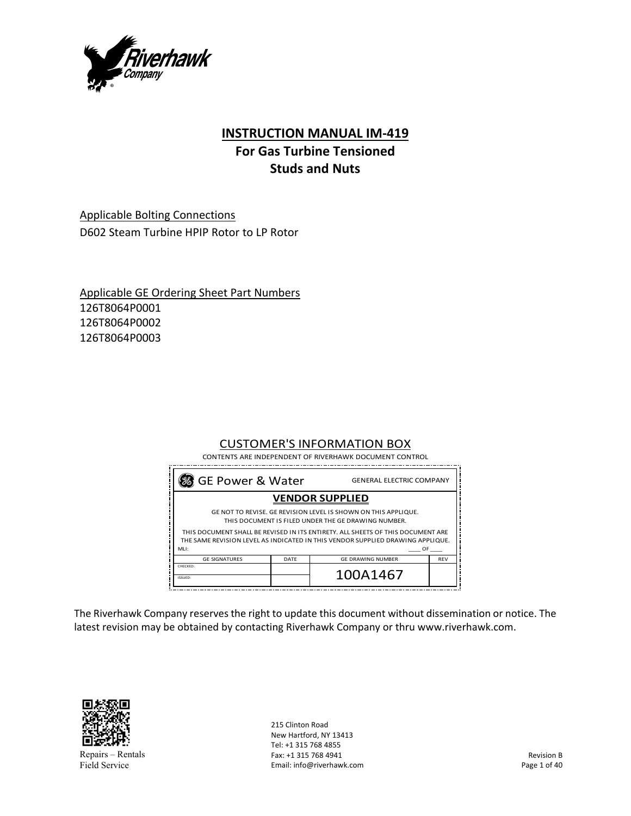

# **INSTRUCTION MANUAL IM‐419**

# **For Gas Turbine Tensioned Studs and Nuts**

Applicable Bolting Connections D602 Steam Turbine HPIP Rotor to LP Rotor

Applicable GE Ordering Sheet Part Numbers 126T8064P0001 126T8064P0002 126T8064P0003

# CUSTOMER'S INFORMATION BOX

CONTENTS ARE INDEPENDENT OF RIVERHAWK DOCUMENT CONTROL

|                        | 3 GE Power & Water<br><b>GENERAL ELECTRIC COMPANY</b> |                                                                                                                                                                                                                                                                                            |            |
|------------------------|-------------------------------------------------------|--------------------------------------------------------------------------------------------------------------------------------------------------------------------------------------------------------------------------------------------------------------------------------------------|------------|
| <b>VENDOR SUPPLIED</b> |                                                       |                                                                                                                                                                                                                                                                                            |            |
| MH:                    |                                                       | GE NOT TO REVISE. GE REVISION LEVEL IS SHOWN ON THIS APPLIQUE.<br>THIS DOCUMENT IS FILED UNDER THE GE DRAWING NUMBER.<br>THIS DOCUMENT SHALL BE REVISED IN ITS ENTIRETY. ALL SHEETS OF THIS DOCUMENT ARE<br>THE SAME REVISION LEVEL AS INDICATED IN THIS VENDOR SUPPLIED DRAWING APPLIQUE. | OF         |
| <b>GE SIGNATURES</b>   | DATE                                                  | <b>GE DRAWING NUMBER</b>                                                                                                                                                                                                                                                                   | <b>REV</b> |
| CHECKED:<br>ISSUED:    |                                                       | 100A1467                                                                                                                                                                                                                                                                                   |            |

The Riverhawk Company reserves the right to update this document without dissemination or notice. The latest revision may be obtained by contacting Riverhawk Company or thru www.riverhawk.com.



Repairs – Rentals Field Service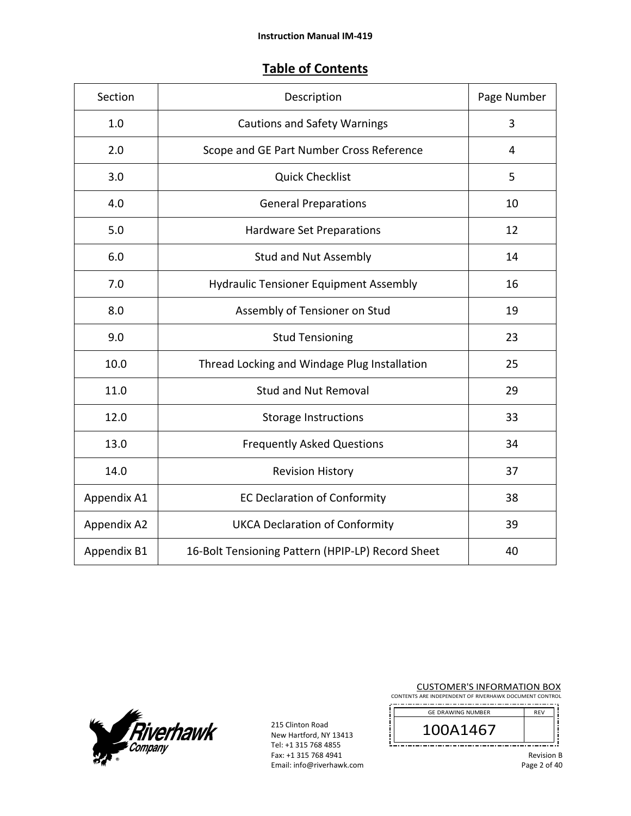# **Table of Contents**

| Section     | Page Number<br>Description                        |    |
|-------------|---------------------------------------------------|----|
| 1.0         | <b>Cautions and Safety Warnings</b>               | 3  |
| 2.0         | Scope and GE Part Number Cross Reference          | 4  |
| 3.0         | <b>Quick Checklist</b>                            | 5  |
| 4.0         | <b>General Preparations</b>                       | 10 |
| 5.0         | Hardware Set Preparations                         | 12 |
| 6.0         | <b>Stud and Nut Assembly</b>                      | 14 |
| 7.0         | <b>Hydraulic Tensioner Equipment Assembly</b>     | 16 |
| 8.0         | Assembly of Tensioner on Stud                     | 19 |
| 9.0         | <b>Stud Tensioning</b>                            | 23 |
| 10.0        | Thread Locking and Windage Plug Installation      | 25 |
| 11.0        | <b>Stud and Nut Removal</b>                       | 29 |
| 12.0        | Storage Instructions                              | 33 |
| 13.0        | <b>Frequently Asked Questions</b>                 | 34 |
| 14.0        | <b>Revision History</b>                           | 37 |
| Appendix A1 | <b>EC Declaration of Conformity</b>               | 38 |
| Appendix A2 | <b>UKCA Declaration of Conformity</b>             | 39 |
| Appendix B1 | 16-Bolt Tensioning Pattern (HPIP-LP) Record Sheet | 40 |



215 Clinton Road New Hartford, NY 13413 Tel: +1 315 768 4855 Fax: +1 315 768 4941 Email: info@riverhawk.com CUSTOMER'S INFORMATION BOX

CONTENTS ARE INDEPENDENT OF RIVERHAWK DOCUMENT CONTROL

| <b>GE DRAWING NUMBER</b> | <b>REV</b> |
|--------------------------|------------|
| 41467                    |            |
|                          |            |

Revision B Page 2 of 40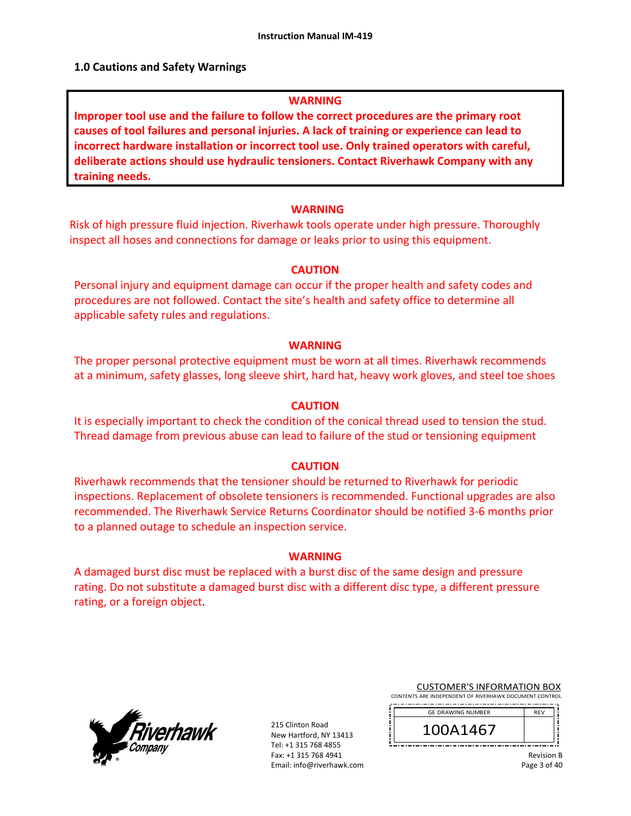## **1.0 Cautions and Safety Warnings**

### **WARNING**

**Improper tool use and the failure to follow the correct procedures are the primary root causes of tool failures and personal injuries. A lack of training or experience can lead to incorrect hardware installation or incorrect tool use. Only trained operators with careful, deliberate actions should use hydraulic tensioners. Contact Riverhawk Company with any training needs.** 

## **WARNING**

Risk of high pressure fluid injection. Riverhawk tools operate under high pressure. Thoroughly inspect all hoses and connections for damage or leaks prior to using this equipment.

## **CAUTION**

Personal injury and equipment damage can occur if the proper health and safety codes and procedures are not followed. Contact the site's health and safety office to determine all applicable safety rules and regulations.

### **WARNING**

The proper personal protective equipment must be worn at all times. Riverhawk recommends at a minimum, safety glasses, long sleeve shirt, hard hat, heavy work gloves, and steel toe shoes

### **CAUTION**

It is especially important to check the condition of the conical thread used to tension the stud. Thread damage from previous abuse can lead to failure of the stud or tensioning equipment

### **CAUTION**

Riverhawk recommends that the tensioner should be returned to Riverhawk for periodic inspections. Replacement of obsolete tensioners is recommended. Functional upgrades are also recommended. The Riverhawk Service Returns Coordinator should be notified 3‐6 months prior to a planned outage to schedule an inspection service.

### **WARNING**

A damaged burst disc must be replaced with a burst disc of the same design and pressure rating. Do not substitute a damaged burst disc with a different disc type, a different pressure rating, or a foreign object.



215 Clinton Road New Hartford, NY 13413 Tel: +1 315 768 4855 Fax: +1 315 768 4941 Email: info@riverhawk.com

CUSTOMER'S INFORMATION BOX CONTENTS ARE INDEPENDENT OF RIVERHAWK DOCUMENT CONTROL

| --- |  |
|-----|--|
|     |  |
|     |  |

| $\overline{ }$<br>46               |  |
|------------------------------------|--|
| --<br>--<br>. .<br>--<br>--<br>. . |  |

Revision B Page 3 of 40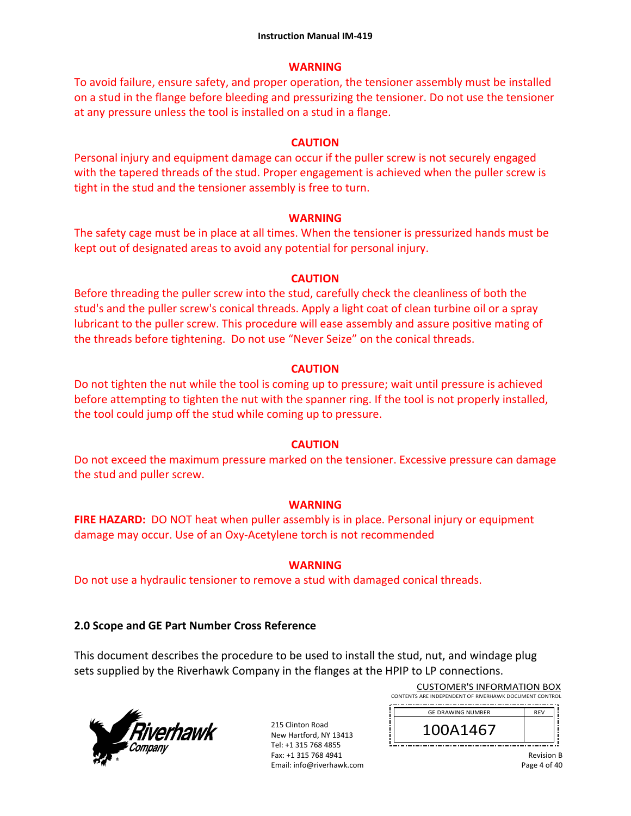## **WARNING**

To avoid failure, ensure safety, and proper operation, the tensioner assembly must be installed on a stud in the flange before bleeding and pressurizing the tensioner. Do not use the tensioner at any pressure unless the tool is installed on a stud in a flange.

# **CAUTION**

Personal injury and equipment damage can occur if the puller screw is not securely engaged with the tapered threads of the stud. Proper engagement is achieved when the puller screw is tight in the stud and the tensioner assembly is free to turn.

# **WARNING**

The safety cage must be in place at all times. When the tensioner is pressurized hands must be kept out of designated areas to avoid any potential for personal injury.

# **CAUTION**

Before threading the puller screw into the stud, carefully check the cleanliness of both the stud's and the puller screw's conical threads. Apply a light coat of clean turbine oil or a spray lubricant to the puller screw. This procedure will ease assembly and assure positive mating of the threads before tightening. Do not use "Never Seize" on the conical threads.

# **CAUTION**

Do not tighten the nut while the tool is coming up to pressure; wait until pressure is achieved before attempting to tighten the nut with the spanner ring. If the tool is not properly installed, the tool could jump off the stud while coming up to pressure.

# **CAUTION**

Do not exceed the maximum pressure marked on the tensioner. Excessive pressure can damage the stud and puller screw.

# **WARNING**

**FIRE HAZARD:** DO NOT heat when puller assembly is in place. Personal injury or equipment damage may occur. Use of an Oxy‐Acetylene torch is not recommended

# **WARNING**

Do not use a hydraulic tensioner to remove a stud with damaged conical threads.

# **2.0 Scope and GE Part Number Cross Reference**

This document describes the procedure to be used to install the stud, nut, and windage plug sets supplied by the Riverhawk Company in the flanges at the HPIP to LP connections.



| <b>CUSTOMER'S INFORMATION BOX</b>                      |
|--------------------------------------------------------|
| CONTENTS ARE INDEPENDENT OF RIVERHAWK DOCUMENT CONTROL |
|                                                        |

| <b>GE DRAWING NUMBER</b> | <b>RFV</b> |
|--------------------------|------------|
| 1A1467                   |            |
|                          |            |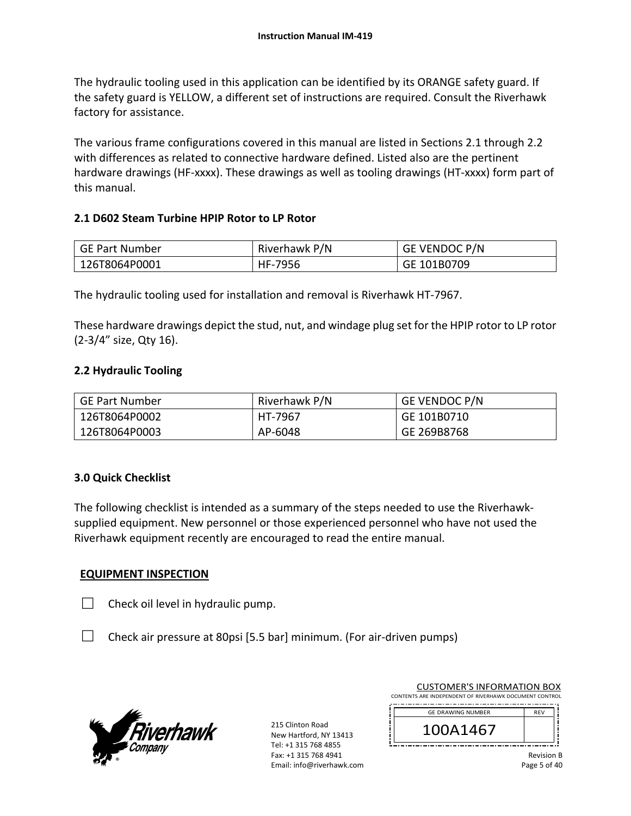The hydraulic tooling used in this application can be identified by its ORANGE safety guard. If the safety guard is YELLOW, a different set of instructions are required. Consult the Riverhawk factory for assistance.

The various frame configurations covered in this manual are listed in Sections 2.1 through 2.2 with differences as related to connective hardware defined. Listed also are the pertinent hardware drawings (HF-xxxx). These drawings as well as tooling drawings (HT-xxxx) form part of this manual.

# **2.1 D602 Steam Turbine HPIP Rotor to LP Rotor**

| GE Part Number | Riverhawk P/N | GE VENDOC P/N |
|----------------|---------------|---------------|
| 126T8064P0001  | HF-7956       | GE 101B0709   |

The hydraulic tooling used for installation and removal is Riverhawk HT‐7967.

These hardware drawings depict the stud, nut, and windage plug set for the HPIP rotor to LP rotor (2‐3/4" size, Qty 16).

## **2.2 Hydraulic Tooling**

| GE Part Number | Riverhawk P/N | <b>GE VENDOC P/N</b> |
|----------------|---------------|----------------------|
| 126T8064P0002  | HT-7967       | GE 101B0710          |
| 126T8064P0003  | AP-6048       | GE 269B8768          |

## **3.0 Quick Checklist**

The following checklist is intended as a summary of the steps needed to use the Riverhawk‐ supplied equipment. New personnel or those experienced personnel who have not used the Riverhawk equipment recently are encouraged to read the entire manual.

## **EQUIPMENT INSPECTION**

- $\Box$  Check oil level in hydraulic pump.
- $\Box$  Check air pressure at 80psi [5.5 bar] minimum. (For air-driven pumps)



215 Clinton Road New Hartford, NY 13413 Tel: +1 315 768 4855 Fax: +1 315 768 4941 Email: info@riverhawk.com

| <b>CUSTOMER'S INFORMATION BOX</b> |  |  |
|-----------------------------------|--|--|
|                                   |  |  |

CONTENTS ARE INDEPENDENT OF RIVERHAWK DOCUMENT CONTROL 

| <b>GE DRAWING NUMBER</b> | <b>DEV</b> |
|--------------------------|------------|
| \1467                    |            |
|                          |            |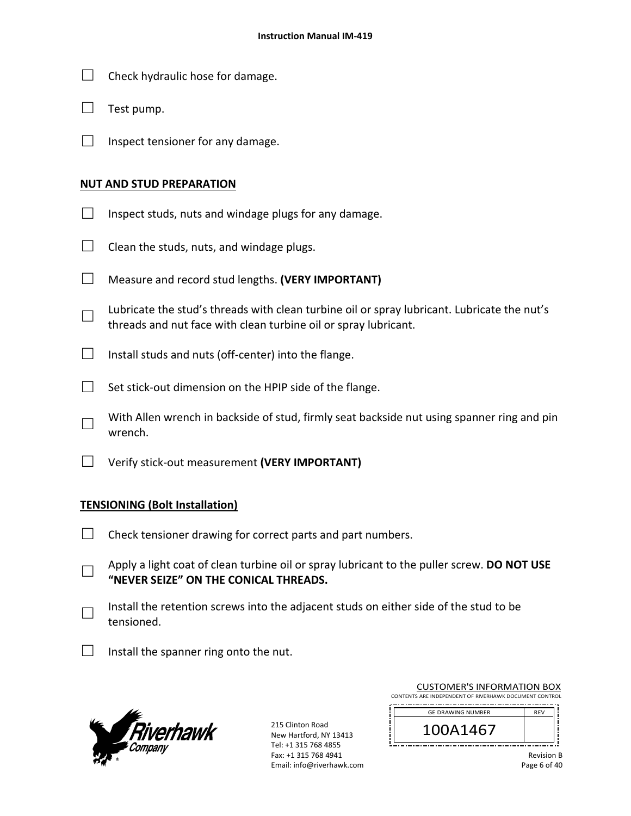- $\Box$  Check hydraulic hose for damage.
- $\Box$  Test pump.
- $\Box$  Inspect tensioner for any damage.

## **NUT AND STUD PREPARATION**

- $\Box$  Inspect studs, nuts and windage plugs for any damage.
- $\Box$  Clean the studs, nuts, and windage plugs.
- □ Measure and record stud lengths. **(VERY IMPORTANT)**
- □ Lubricate the stud's threads with clean turbine oil or spray lubricant. Lubricate the nut's threads and nut face with clean turbine oil or spray lubricant.
- $\Box$  Install studs and nuts (off-center) into the flange.
- $\Box$  Set stick-out dimension on the HPIP side of the flange.
- □ With Allen wrench in backside of stud, firmly seat backside nut using spanner ring and pin wrench.
- □ Verify stick‐out measurement **(VERY IMPORTANT)**

## **TENSIONING (Bolt Installation)**

- $\Box$  Check tensioner drawing for correct parts and part numbers.
- □ Apply a light coat of clean turbine oil or spray lubricant to the puller screw. **DO NOT USE "NEVER SEIZE" ON THE CONICAL THREADS.**
- □ Install the retention screws into the adjacent studs on either side of the stud to be tensioned.
- $\Box$  Install the spanner ring onto the nut.



| <b>CUSTOMER'S INFORMATION BOX</b>                      |
|--------------------------------------------------------|
| CONTENTS ARE INDEPENDENT OF RIVERHAWK DOCUMENT CONTROL |
|                                                        |

| <b>GE DRAWING NUMBER</b> | <b>RFV</b> |
|--------------------------|------------|
| 41467                    |            |
|                          |            |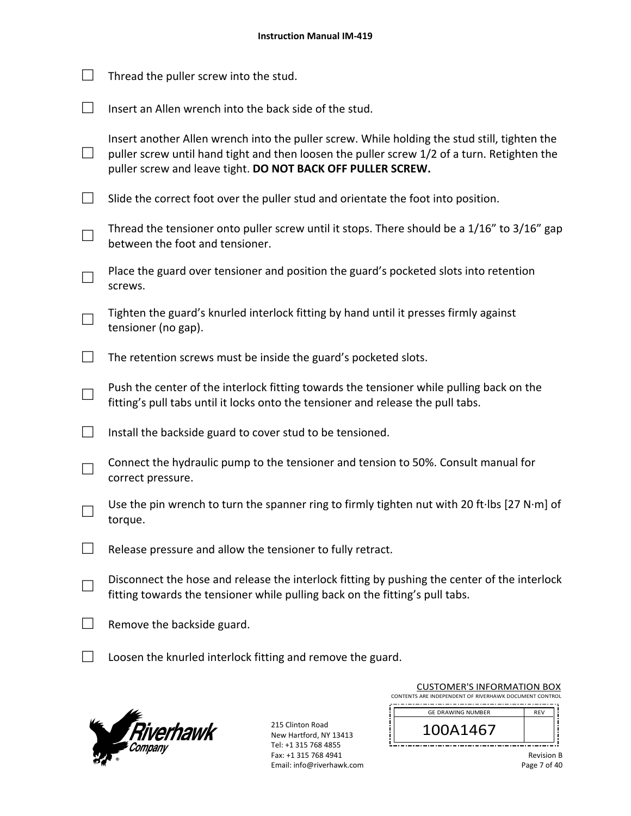|                   | Thread the puller screw into the stud.                                                                                                                                                                                                                     |
|-------------------|------------------------------------------------------------------------------------------------------------------------------------------------------------------------------------------------------------------------------------------------------------|
|                   | Insert an Allen wrench into the back side of the stud.                                                                                                                                                                                                     |
| $\vert \ \ \vert$ | Insert another Allen wrench into the puller screw. While holding the stud still, tighten the<br>puller screw until hand tight and then loosen the puller screw 1/2 of a turn. Retighten the<br>puller screw and leave tight. DO NOT BACK OFF PULLER SCREW. |
| $\Box$            | Slide the correct foot over the puller stud and orientate the foot into position.                                                                                                                                                                          |
|                   | Thread the tensioner onto puller screw until it stops. There should be a 1/16" to 3/16" gap<br>between the foot and tensioner.                                                                                                                             |
|                   | Place the guard over tensioner and position the guard's pocketed slots into retention<br>screws.                                                                                                                                                           |
|                   | Tighten the guard's knurled interlock fitting by hand until it presses firmly against<br>tensioner (no gap).                                                                                                                                               |
|                   | The retention screws must be inside the guard's pocketed slots.                                                                                                                                                                                            |
|                   | Push the center of the interlock fitting towards the tensioner while pulling back on the<br>fitting's pull tabs until it locks onto the tensioner and release the pull tabs.                                                                               |
| $\Box$            | Install the backside guard to cover stud to be tensioned.                                                                                                                                                                                                  |
|                   | Connect the hydraulic pump to the tensioner and tension to 50%. Consult manual for<br>correct pressure.                                                                                                                                                    |
|                   | Use the pin wrench to turn the spanner ring to firmly tighten nut with 20 ft·lbs [27 N·m] of<br>torque.                                                                                                                                                    |
|                   | Release pressure and allow the tensioner to fully retract.                                                                                                                                                                                                 |
|                   | Disconnect the hose and release the interlock fitting by pushing the center of the interlock<br>fitting towards the tensioner while pulling back on the fitting's pull tabs.                                                                               |
|                   | Remove the backside guard.                                                                                                                                                                                                                                 |
|                   | Loosen the knurled interlock fitting and remove the guard.                                                                                                                                                                                                 |



|                                                        |  |  |  | <b>CUSTOMER'S INFORMATION BOX</b> |       |  |
|--------------------------------------------------------|--|--|--|-----------------------------------|-------|--|
| CONTENTS ARE INDEPENDENT OF RIVERHAWK DOCUMENT CONTROL |  |  |  |                                   |       |  |
|                                                        |  |  |  |                                   | _____ |  |

| <b>GE DRAWING NUMBER</b> | <b>RFV</b> |
|--------------------------|------------|
| A1467                    |            |
|                          |            |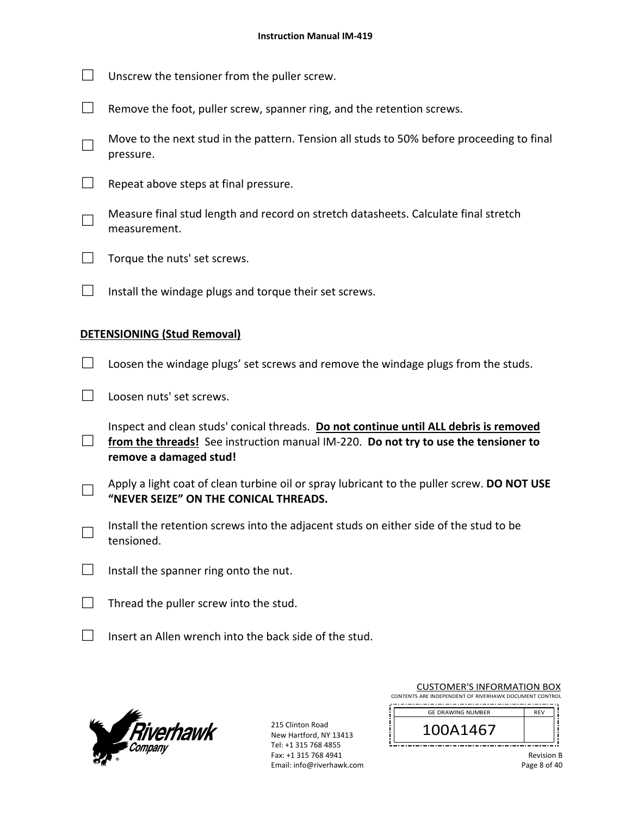- $\Box$  Unscrew the tensioner from the puller screw.
- $\Box$  Remove the foot, puller screw, spanner ring, and the retention screws.
- □ Move to the next stud in the pattern. Tension all studs to 50% before proceeding to final pressure.
- $\Box$  Repeat above steps at final pressure.
- □ Measure final stud length and record on stretch datasheets. Calculate final stretch measurement.
- $\Box$  Torque the nuts' set screws.
- $\Box$  Install the windage plugs and torque their set screws.

## **DETENSIONING (Stud Removal)**

- $\Box$  Loosen the windage plugs' set screws and remove the windage plugs from the studs.
- □ Loosen nuts' set screws.

□ Inspect and clean studs' conical threads. **Do not continue until ALL debris is removed**  from the threads! See instruction manual IM-220. Do not try to use the tensioner to **remove a damaged stud!** 

- □ Apply a light coat of clean turbine oil or spray lubricant to the puller screw. **DO NOT USE "NEVER SEIZE" ON THE CONICAL THREADS.**
- □ Install the retention screws into the adjacent studs on either side of the stud to be tensioned.
- $\Box$  Install the spanner ring onto the nut.
- $\Box$  Thread the puller screw into the stud.
- $\Box$  Insert an Allen wrench into the back side of the stud.



215 Clinton Road New Hartford, NY 13413 Tel: +1 315 768 4855 Fax: +1 315 768 4941 Email: info@riverhawk.com

| CUSTUIVIEN 3 INFUNIVIATIUN BUA                         |                          |            |  |  |  |
|--------------------------------------------------------|--------------------------|------------|--|--|--|
| CONTENTS ARE INDEPENDENT OF RIVERHAWK DOCUMENT CONTROL |                          |            |  |  |  |
|                                                        |                          |            |  |  |  |
|                                                        | <b>GE DRAWING NUMBER</b> | <b>RFV</b> |  |  |  |
|                                                        |                          |            |  |  |  |
| 100A1467                                               |                          |            |  |  |  |
|                                                        |                          |            |  |  |  |
|                                                        |                          |            |  |  |  |
|                                                        |                          |            |  |  |  |

CUCTOMER'S INFORMATION BOY

| <b>Revision B</b> |  |
|-------------------|--|
| Page 8 of 40      |  |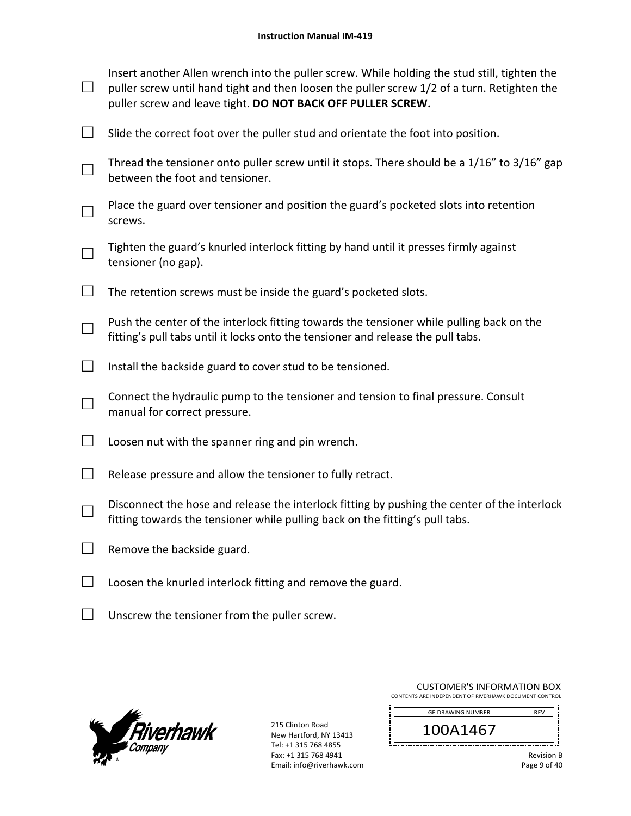| $\Box$                      | Insert another Allen wrench into the puller screw. While holding the stud still, tighten the<br>puller screw until hand tight and then loosen the puller screw 1/2 of a turn. Retighten the<br>puller screw and leave tight. DO NOT BACK OFF PULLER SCREW. |
|-----------------------------|------------------------------------------------------------------------------------------------------------------------------------------------------------------------------------------------------------------------------------------------------------|
| $\mathcal{L}_{\mathcal{A}}$ | Slide the correct foot over the puller stud and orientate the foot into position.                                                                                                                                                                          |
|                             | Thread the tensioner onto puller screw until it stops. There should be a 1/16" to 3/16" gap<br>between the foot and tensioner.                                                                                                                             |
|                             | Place the guard over tensioner and position the guard's pocketed slots into retention<br>screws.                                                                                                                                                           |
| $\Box$                      | Tighten the guard's knurled interlock fitting by hand until it presses firmly against<br>tensioner (no gap).                                                                                                                                               |
|                             | The retention screws must be inside the guard's pocketed slots.                                                                                                                                                                                            |
|                             | Push the center of the interlock fitting towards the tensioner while pulling back on the<br>fitting's pull tabs until it locks onto the tensioner and release the pull tabs.                                                                               |
| $\mathcal{L}^{\mathcal{A}}$ | Install the backside guard to cover stud to be tensioned.                                                                                                                                                                                                  |
|                             | Connect the hydraulic pump to the tensioner and tension to final pressure. Consult<br>manual for correct pressure.                                                                                                                                         |
| $\Box$                      | Loosen nut with the spanner ring and pin wrench.                                                                                                                                                                                                           |
| $\mathcal{L}^{\mathcal{L}}$ | Release pressure and allow the tensioner to fully retract.                                                                                                                                                                                                 |
|                             | Disconnect the hose and release the interlock fitting by pushing the center of the interlock<br>fitting towards the tensioner while pulling back on the fitting's pull tabs.                                                                               |
| $\Box$                      | Remove the backside guard.                                                                                                                                                                                                                                 |
|                             | Loosen the knurled interlock fitting and remove the guard.                                                                                                                                                                                                 |

□ Unscrew the tensioner from the puller screw.



215 Clinton Road New Hartford, NY 13413 Tel: +1 315 768 4855 Fax: +1 315 768 4941 Email: info@riverhawk.com į

| <b>CUSTOMER'S INFORMATION BOX</b>                      |
|--------------------------------------------------------|
| CONTENTS ARE INDEPENDENT OF RIVERHAWK DOCUMENT CONTROL |
|                                                        |

| <b>GE DRAWING NUMBER</b> | <b>RFV</b> |
|--------------------------|------------|
| 41467                    |            |
|                          |            |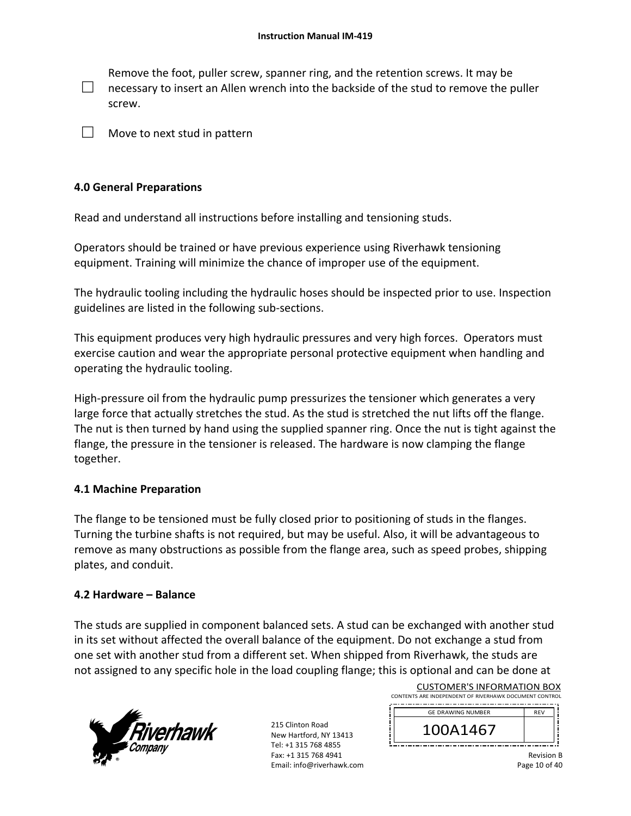□ Remove the foot, puller screw, spanner ring, and the retention screws. It may be necessary to insert an Allen wrench into the backside of the stud to remove the puller screw.

 $\Box$  Move to next stud in pattern

## **4.0 General Preparations**

Read and understand all instructions before installing and tensioning studs.

Operators should be trained or have previous experience using Riverhawk tensioning equipment. Training will minimize the chance of improper use of the equipment.

The hydraulic tooling including the hydraulic hoses should be inspected prior to use. Inspection guidelines are listed in the following sub‐sections.

This equipment produces very high hydraulic pressures and very high forces. Operators must exercise caution and wear the appropriate personal protective equipment when handling and operating the hydraulic tooling.

High-pressure oil from the hydraulic pump pressurizes the tensioner which generates a very large force that actually stretches the stud. As the stud is stretched the nut lifts off the flange. The nut is then turned by hand using the supplied spanner ring. Once the nut is tight against the flange, the pressure in the tensioner is released. The hardware is now clamping the flange together.

## **4.1 Machine Preparation**

The flange to be tensioned must be fully closed prior to positioning of studs in the flanges. Turning the turbine shafts is not required, but may be useful. Also, it will be advantageous to remove as many obstructions as possible from the flange area, such as speed probes, shipping plates, and conduit.

## **4.2 Hardware – Balance**

The studs are supplied in component balanced sets. A stud can be exchanged with another stud in its set without affected the overall balance of the equipment. Do not exchange a stud from one set with another stud from a different set. When shipped from Riverhawk, the studs are not assigned to any specific hole in the load coupling flange; this is optional and can be done at



215 Clinton Road New Hartford, NY 13413 Tel: +1 315 768 4855 Fax: +1 315 768 4941 Email: info@riverhawk.com

| CONTENTS ARE INDEPENDENT OF RIVERHAWK DOCUMENT CONTROL |            |
|--------------------------------------------------------|------------|
| <b>GE DRAWING NUMBER</b>                               | <b>RFV</b> |
| 100A1467                                               |            |

CUSTOMER'S INFORMATION BOX

Revision B Page 10 of 40

Ji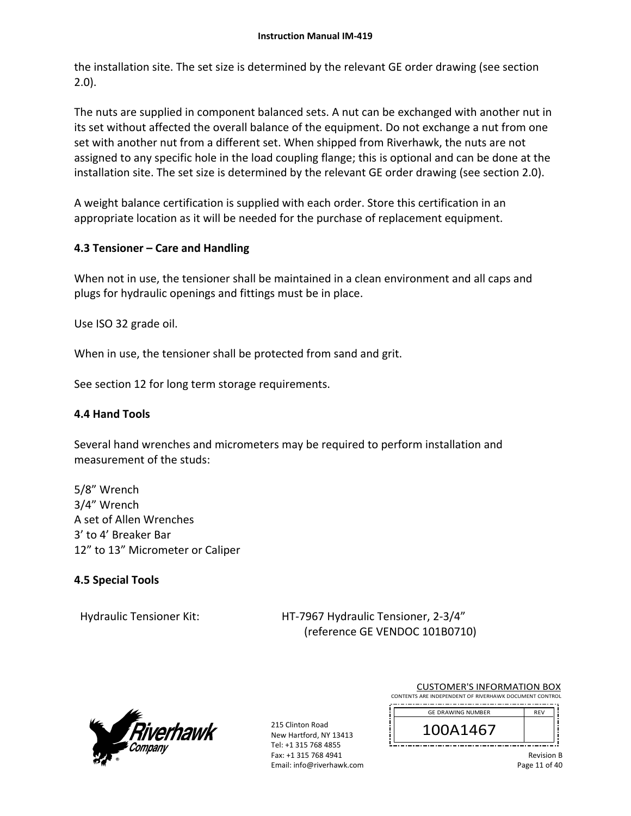the installation site. The set size is determined by the relevant GE order drawing (see section 2.0).

The nuts are supplied in component balanced sets. A nut can be exchanged with another nut in its set without affected the overall balance of the equipment. Do not exchange a nut from one set with another nut from a different set. When shipped from Riverhawk, the nuts are not assigned to any specific hole in the load coupling flange; this is optional and can be done at the installation site. The set size is determined by the relevant GE order drawing (see section 2.0).

A weight balance certification is supplied with each order. Store this certification in an appropriate location as it will be needed for the purchase of replacement equipment.

# **4.3 Tensioner – Care and Handling**

When not in use, the tensioner shall be maintained in a clean environment and all caps and plugs for hydraulic openings and fittings must be in place.

Use ISO 32 grade oil.

When in use, the tensioner shall be protected from sand and grit.

See section 12 for long term storage requirements.

# **4.4 Hand Tools**

Several hand wrenches and micrometers may be required to perform installation and measurement of the studs:

5/8" Wrench 3/4" Wrench A set of Allen Wrenches 3' to 4' Breaker Bar 12" to 13" Micrometer or Caliper

# **4.5 Special Tools**

Hydraulic Tensioner Kit: 
HT-7967 Hydraulic Tensioner, 2-3/4" (reference GE VENDOC 101B0710)



215 Clinton Road New Hartford, NY 13413 Tel: +1 315 768 4855 Fax: +1 315 768 4941 Email: info@riverhawk.com

| CONTENTS ARE INDEPENDENT OF RIVERHAWK DOCUMENT CONTROL<br><b>GE DRAWING NUMBER</b> | <b>RFV</b> |  |
|------------------------------------------------------------------------------------|------------|--|
| A1467                                                                              |            |  |

Revision B Page 11 of 40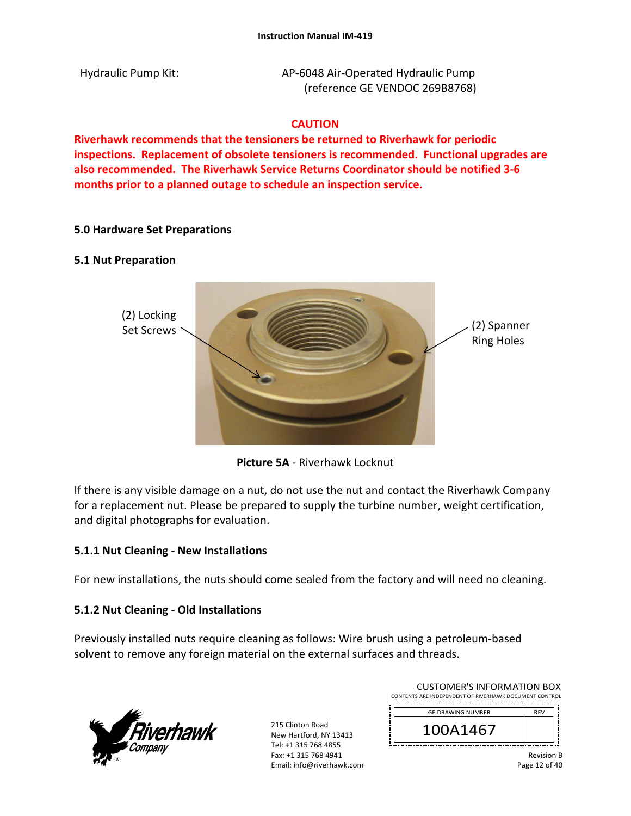Hydraulic Pump Kit: AP-6048 Air-Operated Hydraulic Pump (reference GE VENDOC 269B8768)

# **CAUTION**

**Riverhawk recommends that the tensioners be returned to Riverhawk for periodic inspections. Replacement of obsolete tensioners is recommended. Functional upgrades are also recommended. The Riverhawk Service Returns Coordinator should be notified 3‐6 months prior to a planned outage to schedule an inspection service.** 

# **5.0 Hardware Set Preparations**

## **5.1 Nut Preparation**



**Picture 5A** ‐ Riverhawk Locknut

If there is any visible damage on a nut, do not use the nut and contact the Riverhawk Company for a replacement nut. Please be prepared to supply the turbine number, weight certification, and digital photographs for evaluation.

## **5.1.1 Nut Cleaning ‐ New Installations**

For new installations, the nuts should come sealed from the factory and will need no cleaning.

## **5.1.2 Nut Cleaning ‐ Old Installations**

Previously installed nuts require cleaning as follows: Wire brush using a petroleum‐based solvent to remove any foreign material on the external surfaces and threads.



215 Clinton Road New Hartford, NY 13413 Tel: +1 315 768 4855 Fax: +1 315 768 4941 Email: info@riverhawk.com

| COJI UNILIN JINI UNINIATION DOM                        |            |
|--------------------------------------------------------|------------|
| CONTENTS ARE INDEPENDENT OF RIVERHAWK DOCUMENT CONTROL |            |
| <b>GE DRAWING NUMBER</b>                               | <b>RFV</b> |
| 141467                                                 |            |

CUSTOMER'S INFORMATION BOX

Revision B Page 12 of 40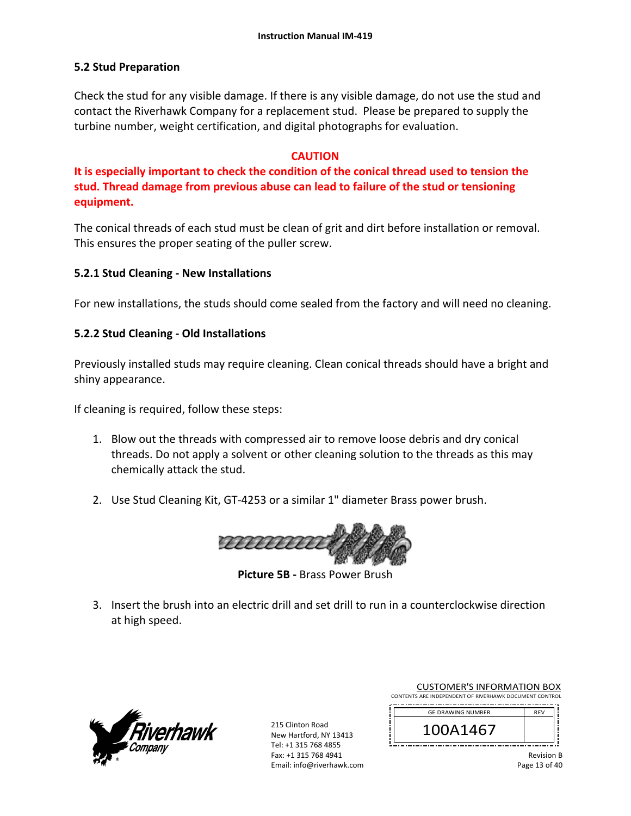# **5.2 Stud Preparation**

Check the stud for any visible damage. If there is any visible damage, do not use the stud and contact the Riverhawk Company for a replacement stud. Please be prepared to supply the turbine number, weight certification, and digital photographs for evaluation.

## **CAUTION**

**It is especially important to check the condition of the conical thread used to tension the stud. Thread damage from previous abuse can lead to failure of the stud or tensioning equipment.** 

The conical threads of each stud must be clean of grit and dirt before installation or removal. This ensures the proper seating of the puller screw.

## **5.2.1 Stud Cleaning ‐ New Installations**

For new installations, the studs should come sealed from the factory and will need no cleaning.

## **5.2.2 Stud Cleaning ‐ Old Installations**

Previously installed studs may require cleaning. Clean conical threads should have a bright and shiny appearance.

If cleaning is required, follow these steps:

- 1. Blow out the threads with compressed air to remove loose debris and dry conical threads. Do not apply a solvent or other cleaning solution to the threads as this may chemically attack the stud.
- 2. Use Stud Cleaning Kit, GT‐4253 or a similar 1" diameter Brass power brush.



**Picture 5B ‐** Brass Power Brush

3. Insert the brush into an electric drill and set drill to run in a counterclockwise direction at high speed.



| <b>CUSTOMER'S INFORMATION BOX</b>                                 |  |  |  |
|-------------------------------------------------------------------|--|--|--|
| $11.70$ and $11.05505105117$ of an (Callabora Documental Contract |  |  |  |

| CONTENTS ARE INDEPENDENT OF RIVERHAWK DOCUMENT CONTROL |  |  |  |  |
|--------------------------------------------------------|--|--|--|--|
|                                                        |  |  |  |  |

| <b>GE DRAWING NUMBER</b> | <b>REV</b> |
|--------------------------|------------|
| \1467                    |            |
|                          |            |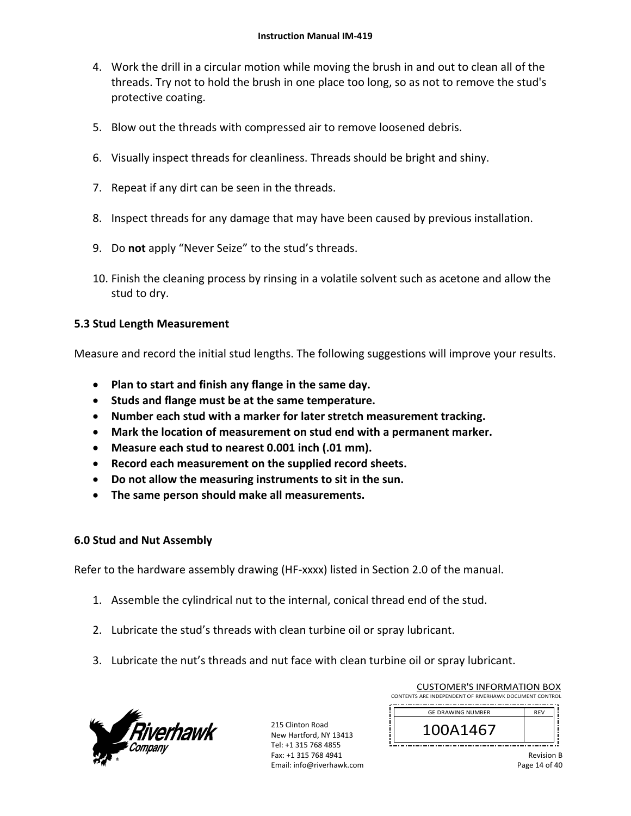- 4. Work the drill in a circular motion while moving the brush in and out to clean all of the threads. Try not to hold the brush in one place too long, so as not to remove the stud's protective coating.
- 5. Blow out the threads with compressed air to remove loosened debris.
- 6. Visually inspect threads for cleanliness. Threads should be bright and shiny.
- 7. Repeat if any dirt can be seen in the threads.
- 8. Inspect threads for any damage that may have been caused by previous installation.
- 9. Do **not** apply "Never Seize" to the stud's threads.
- 10. Finish the cleaning process by rinsing in a volatile solvent such as acetone and allow the stud to dry.

## **5.3 Stud Length Measurement**

Measure and record the initial stud lengths. The following suggestions will improve your results.

- **Plan to start and finish any flange in the same day.**
- **Studs and flange must be at the same temperature.**
- **Number each stud with a marker for later stretch measurement tracking.**
- **Mark the location of measurement on stud end with a permanent marker.**
- **Measure each stud to nearest 0.001 inch (.01 mm).**
- **Record each measurement on the supplied record sheets.**
- **Do not allow the measuring instruments to sit in the sun.**
- **The same person should make all measurements.**

## **6.0 Stud and Nut Assembly**

Refer to the hardware assembly drawing (HF‐xxxx) listed in Section 2.0 of the manual.

- 1. Assemble the cylindrical nut to the internal, conical thread end of the stud.
- 2. Lubricate the stud's threads with clean turbine oil or spray lubricant.
- 3. Lubricate the nut's threads and nut face with clean turbine oil or spray lubricant.



215 Clinton Road New Hartford, NY 13413 Tel: +1 315 768 4855 Fax: +1 315 768 4941 Email: info@riverhawk.com

| CONTENTS ARE INDEPENDENT OF RIVERHAWK DOCUMENT CONTROL |            |  |
|--------------------------------------------------------|------------|--|
| <b>GE DRAWING NUMBER</b>                               | <b>REV</b> |  |
| 100A1467                                               |            |  |

CUSTOMER'S INFORMATION BOX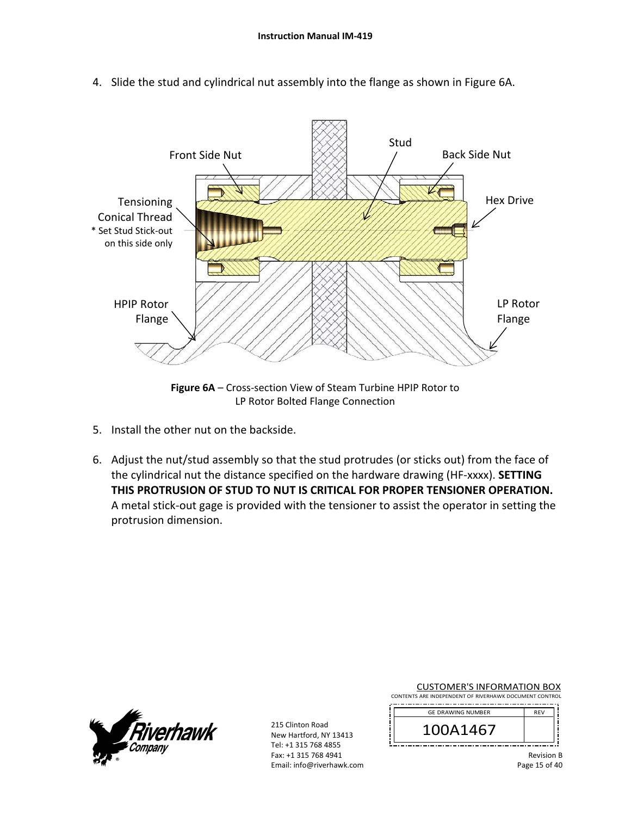

4. Slide the stud and cylindrical nut assembly into the flange as shown in Figure 6A.

**Figure 6A** – Cross‐section View of Steam Turbine HPIP Rotor to LP Rotor Bolted Flange Connection

- 5. Install the other nut on the backside.
- 6. Adjust the nut/stud assembly so that the stud protrudes (or sticks out) from the face of the cylindrical nut the distance specified on the hardware drawing (HF‐xxxx). **SETTING THIS PROTRUSION OF STUD TO NUT IS CRITICAL FOR PROPER TENSIONER OPERATION.** A metal stick‐out gage is provided with the tensioner to assist the operator in setting the protrusion dimension.



215 Clinton Road New Hartford, NY 13413 Tel: +1 315 768 4855 Fax: +1 315 768 4941 Email: info@riverhawk.com

CUSTOMER'S INFORMATION BOX CONTENTS ARE INDEPENDENT OF RIVERHAWK DOCUMENT CONTROL

| <b>GE DRAWING NUMBER</b> | <b>REV</b> |
|--------------------------|------------|
| )A1467                   |            |

Revision B Page 15 of 40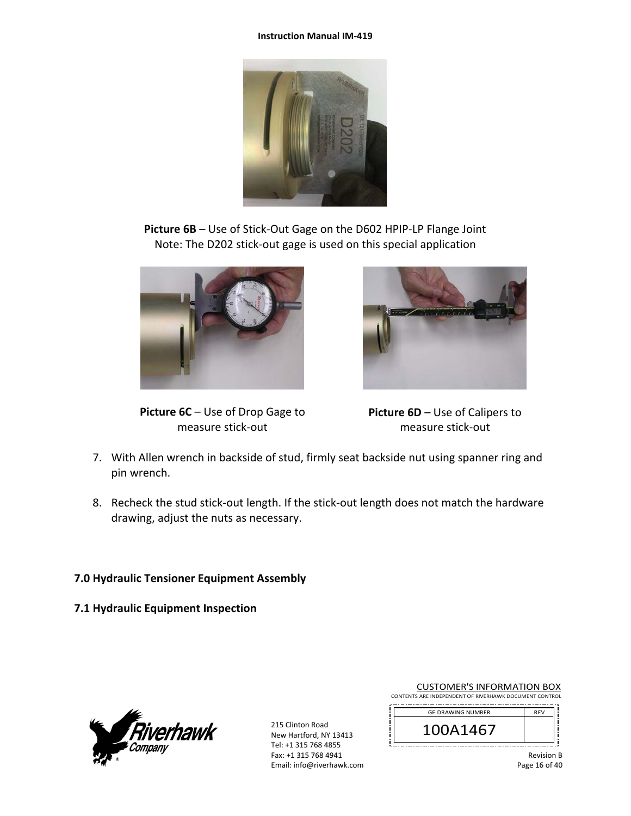#### **Instruction Manual IM‐419**



**Picture 6B** – Use of Stick‐Out Gage on the D602 HPIP‐LP Flange Joint Note: The D202 stick‐out gage is used on this special application



**Picture 6C** – Use of Drop Gage to measure stick‐out



**Picture 6D** – Use of Calipers to measure stick‐out

- 7. With Allen wrench in backside of stud, firmly seat backside nut using spanner ring and pin wrench.
- 8. Recheck the stud stick‐out length. If the stick‐out length does not match the hardware drawing, adjust the nuts as necessary.

# **7.0 Hydraulic Tensioner Equipment Assembly**

**7.1 Hydraulic Equipment Inspection** 



|  | <b>CUSTOMER'S INFORMATION BOX</b> |  |
|--|-----------------------------------|--|
|  |                                   |  |

|  |  |  | CONTENTS ARE INDEPENDENT OF RIVERHAWK DOCUMENT CONTROL |
|--|--|--|--------------------------------------------------------|
|  |  |  |                                                        |

| <b>GE DRAWING NUMBER</b> | <b>RFV</b> |
|--------------------------|------------|
| 100A1467                 |            |
|                          |            |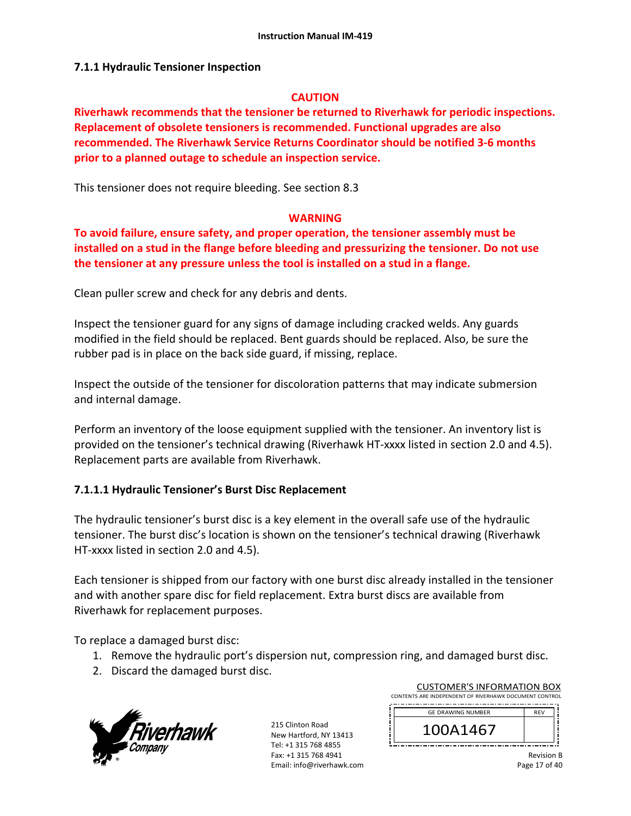## **7.1.1 Hydraulic Tensioner Inspection**

### **CAUTION**

**Riverhawk recommends that the tensioner be returned to Riverhawk for periodic inspections. Replacement of obsolete tensioners is recommended. Functional upgrades are also recommended. The Riverhawk Service Returns Coordinator should be notified 3‐6 months prior to a planned outage to schedule an inspection service.** 

This tensioner does not require bleeding. See section 8.3

## **WARNING**

**To avoid failure, ensure safety, and proper operation, the tensioner assembly must be installed on a stud in the flange before bleeding and pressurizing the tensioner. Do not use the tensioner at any pressure unless the tool is installed on a stud in a flange.** 

Clean puller screw and check for any debris and dents.

Inspect the tensioner guard for any signs of damage including cracked welds. Any guards modified in the field should be replaced. Bent guards should be replaced. Also, be sure the rubber pad is in place on the back side guard, if missing, replace.

Inspect the outside of the tensioner for discoloration patterns that may indicate submersion and internal damage.

Perform an inventory of the loose equipment supplied with the tensioner. An inventory list is provided on the tensioner's technical drawing (Riverhawk HT‐xxxx listed in section 2.0 and 4.5). Replacement parts are available from Riverhawk.

## **7.1.1.1 Hydraulic Tensioner's Burst Disc Replacement**

The hydraulic tensioner's burst disc is a key element in the overall safe use of the hydraulic tensioner. The burst disc's location is shown on the tensioner's technical drawing (Riverhawk HT-xxxx listed in section 2.0 and 4.5).

Each tensioner is shipped from our factory with one burst disc already installed in the tensioner and with another spare disc for field replacement. Extra burst discs are available from Riverhawk for replacement purposes.

To replace a damaged burst disc:

- 1. Remove the hydraulic port's dispersion nut, compression ring, and damaged burst disc.
- 2. Discard the damaged burst disc.



215 Clinton Road New Hartford, NY 13413 Tel: +1 315 768 4855 Fax: +1 315 768 4941 Email: info@riverhawk.com

CUSTOMER'S INFORMATION BOX CONTENTS ARE INDEPENDENT OF RIVERHAWK DOCUMENT CONTROL 

| <b>GE DRAWING NUMBER</b> | <b>RFV</b> |  |  |
|--------------------------|------------|--|--|
| 41467                    |            |  |  |
|                          |            |  |  |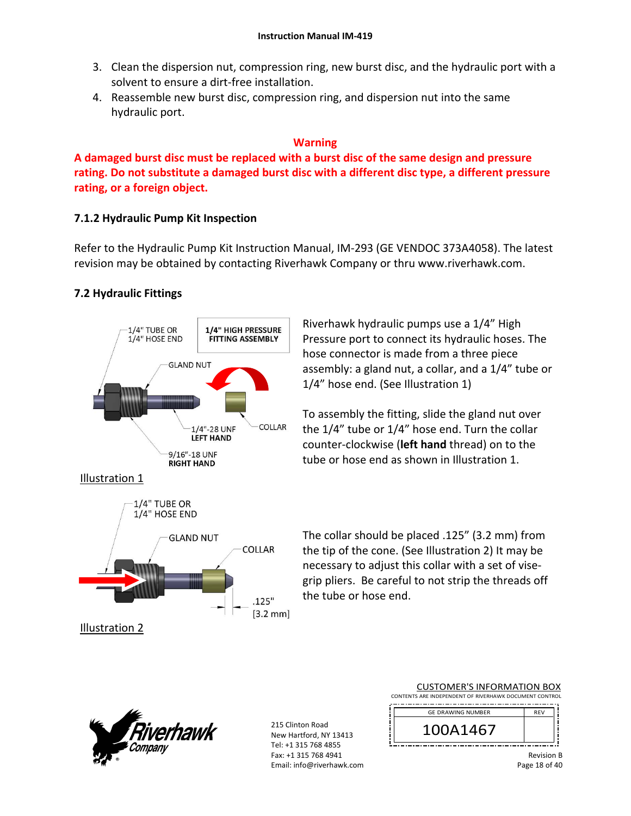- 3. Clean the dispersion nut, compression ring, new burst disc, and the hydraulic port with a solvent to ensure a dirt‐free installation.
- 4. Reassemble new burst disc, compression ring, and dispersion nut into the same hydraulic port.

## **Warning**

**A damaged burst disc must be replaced with a burst disc of the same design and pressure rating. Do not substitute a damaged burst disc with a different disc type, a different pressure rating, or a foreign object.**

# **7.1.2 Hydraulic Pump Kit Inspection**

Refer to the Hydraulic Pump Kit Instruction Manual, IM‐293 (GE VENDOC 373A4058). The latest revision may be obtained by contacting Riverhawk Company or thru www.riverhawk.com.

# **7.2 Hydraulic Fittings**



**GLAND NUT** 

COLLAR

 $.125"$  $[3.2 \text{ mm}]$ 

Riverhawk hydraulic pumps use a 1/4" High Pressure port to connect its hydraulic hoses. The hose connector is made from a three piece assembly: a gland nut, a collar, and a 1/4" tube or 1/4" hose end. (See Illustration 1)

To assembly the fitting, slide the gland nut over the 1/4" tube or 1/4" hose end. Turn the collar counter‐clockwise (**left hand** thread) on to the tube or hose end as shown in Illustration 1.

The collar should be placed .125" (3.2 mm) from the tip of the cone. (See Illustration 2) It may be necessary to adjust this collar with a set of vise‐ grip pliers. Be careful to not strip the threads off the tube or hose end.



Illustration 2

215 Clinton Road New Hartford, NY 13413 Tel: +1 315 768 4855 Fax: +1 315 768 4941 Email: info@riverhawk.com

| CONTENTS ARE INDEPENDENT OF RIVERHAWK DOCUMENT CONTROL |            |  |
|--------------------------------------------------------|------------|--|
| <b>GE DRAWING NUMBER</b>                               | <b>REV</b> |  |
| 100A1467                                               |            |  |
|                                                        |            |  |

CUSTOMER'S INFORMATION BOX

Revision B Page 18 of 40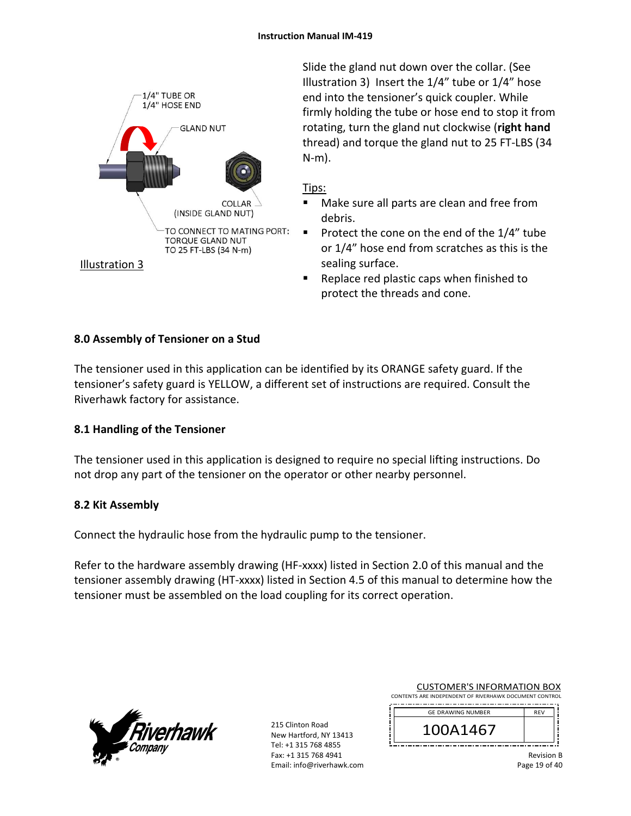

Slide the gland nut down over the collar. (See Illustration 3) Insert the 1/4" tube or 1/4" hose end into the tensioner's quick coupler. While firmly holding the tube or hose end to stop it from rotating, turn the gland nut clockwise (**right hand** thread) and torque the gland nut to 25 FT‐LBS (34 N‐m).

# Tips:

- Make sure all parts are clean and free from debris.
- Protect the cone on the end of the  $1/4$ " tube or 1/4" hose end from scratches as this is the sealing surface.
- Replace red plastic caps when finished to protect the threads and cone.

# **8.0 Assembly of Tensioner on a Stud**

The tensioner used in this application can be identified by its ORANGE safety guard. If the tensioner's safety guard is YELLOW, a different set of instructions are required. Consult the Riverhawk factory for assistance.

# **8.1 Handling of the Tensioner**

The tensioner used in this application is designed to require no special lifting instructions. Do not drop any part of the tensioner on the operator or other nearby personnel.

# **8.2 Kit Assembly**

Connect the hydraulic hose from the hydraulic pump to the tensioner.

Refer to the hardware assembly drawing (HF-xxxx) listed in Section 2.0 of this manual and the tensioner assembly drawing (HT‐xxxx) listed in Section 4.5 of this manual to determine how the tensioner must be assembled on the load coupling for its correct operation.



| <b>CUSTOMER'S INFORMATION BOX</b>                      |  |  |
|--------------------------------------------------------|--|--|
| CONTENTS ARE INDEPENDENT OF RIVERHAWK DOCUMENT CONTROL |  |  |

| <b>GE DRAWING NUMBER</b> | <b>RFV</b> |
|--------------------------|------------|
| )A1467                   |            |
|                          |            |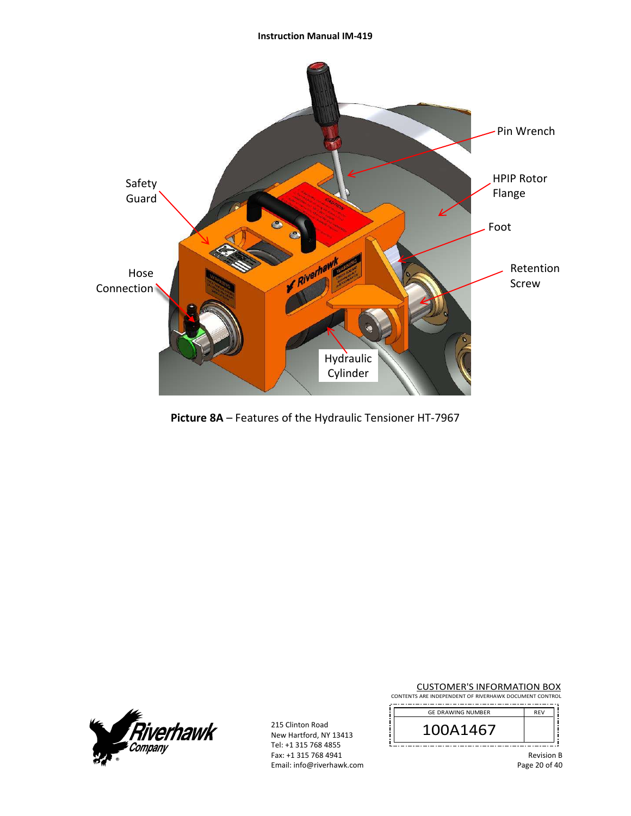#### **Instruction Manual IM‐419**



**Picture 8A** – Features of the Hydraulic Tensioner HT‐7967



215 Clinton Road New Hartford, NY 13413 Tel: +1 315 768 4855 Fax: +1 315 768 4941 Email: info@riverhawk.com CUSTOMER'S INFORMATION BOX

CONTENTS ARE INDEPENDENT OF RIVERHAWK DOCUMENT CONTROL 

| <b>GE DRAWING NUMBER</b> | <b>REV</b> |
|--------------------------|------------|
| 100A1467                 |            |
|                          |            |

Revision B Page 20 of 40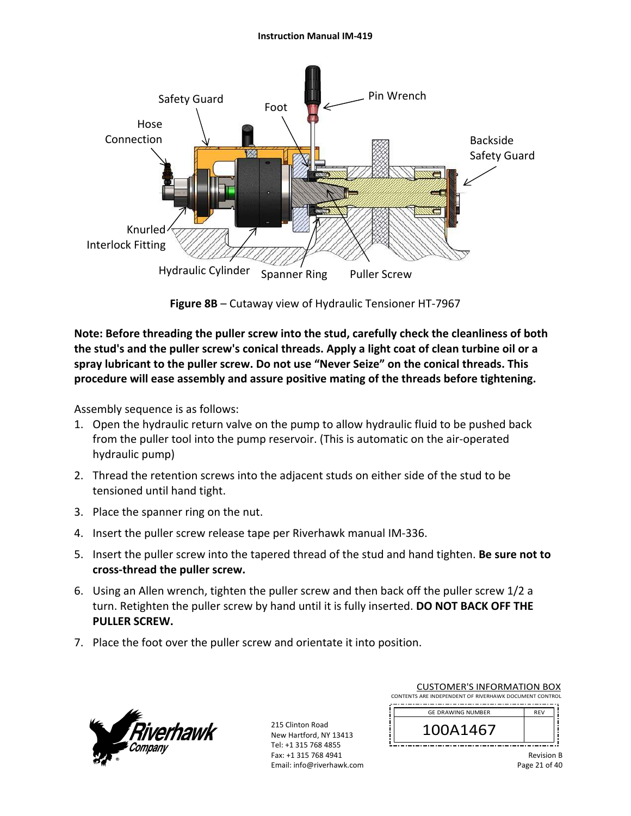### **Instruction Manual IM‐419**



**Figure 8B** – Cutaway view of Hydraulic Tensioner HT‐7967

**Note: Before threading the puller screw into the stud, carefully check the cleanliness of both the stud's and the puller screw's conical threads. Apply a light coat of clean turbine oil or a spray lubricant to the puller screw. Do not use "Never Seize" on the conical threads. This procedure will ease assembly and assure positive mating of the threads before tightening.** 

Assembly sequence is as follows:

- 1. Open the hydraulic return valve on the pump to allow hydraulic fluid to be pushed back from the puller tool into the pump reservoir. (This is automatic on the air‐operated hydraulic pump)
- 2. Thread the retention screws into the adjacent studs on either side of the stud to be tensioned until hand tight.
- 3. Place the spanner ring on the nut.
- 4. Insert the puller screw release tape per Riverhawk manual IM‐336.
- 5. Insert the puller screw into the tapered thread of the stud and hand tighten. **Be sure not to cross‐thread the puller screw.**
- 6. Using an Allen wrench, tighten the puller screw and then back off the puller screw 1/2 a turn. Retighten the puller screw by hand until it is fully inserted. **DO NOT BACK OFF THE PULLER SCREW.**
- 7. Place the foot over the puller screw and orientate it into position.



| <b>CUSTOMER'S INFORMATION BOX</b>                      |            |  |  |  |
|--------------------------------------------------------|------------|--|--|--|
| CONTENTS ARE INDEPENDENT OF RIVERHAWK DOCUMENT CONTROL |            |  |  |  |
| <b>GE DRAWING NUMBER</b>                               | <b>RFV</b> |  |  |  |
|                                                        |            |  |  |  |

| 4<br>О<br>$\mathbf{I}$                                                         |     |  |   |  |
|--------------------------------------------------------------------------------|-----|--|---|--|
| <b>THE R</b><br>--<br>- -<br>---<br>--<br>. .<br>--<br>÷<br>$\mathbf{r}$<br>., | . . |  | . |  |
|                                                                                |     |  |   |  |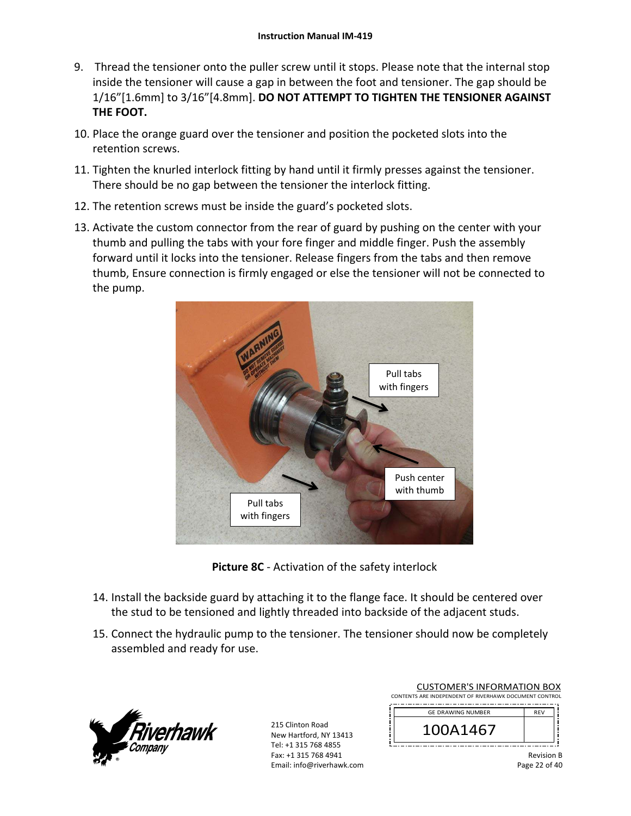- 9. Thread the tensioner onto the puller screw until it stops. Please note that the internal stop inside the tensioner will cause a gap in between the foot and tensioner. The gap should be 1/16"[1.6mm] to 3/16"[4.8mm]. **DO NOT ATTEMPT TO TIGHTEN THE TENSIONER AGAINST THE FOOT.**
- 10. Place the orange guard over the tensioner and position the pocketed slots into the retention screws.
- 11. Tighten the knurled interlock fitting by hand until it firmly presses against the tensioner. There should be no gap between the tensioner the interlock fitting.
- 12. The retention screws must be inside the guard's pocketed slots.
- 13. Activate the custom connector from the rear of guard by pushing on the center with your thumb and pulling the tabs with your fore finger and middle finger. Push the assembly forward until it locks into the tensioner. Release fingers from the tabs and then remove thumb, Ensure connection is firmly engaged or else the tensioner will not be connected to the pump.



**Picture 8C** ‐ Activation of the safety interlock

- 14. Install the backside guard by attaching it to the flange face. It should be centered over the stud to be tensioned and lightly threaded into backside of the adjacent studs.
- 15. Connect the hydraulic pump to the tensioner. The tensioner should now be completely assembled and ready for use.



215 Clinton Road New Hartford, NY 13413 Tel: +1 315 768 4855 Fax: +1 315 768 4941 Email: info@riverhawk.com

| CONTENTS ARE INDEPENDENT OF RIVERHAWK DOCUMENT CONTROL |            |  |
|--------------------------------------------------------|------------|--|
| <b>GE DRAWING NUMBER</b>                               | <b>RFV</b> |  |
|                                                        |            |  |

| GE DRAWING NUMBER |  |
|-------------------|--|
| 41467             |  |
|                   |  |

CUSTOMER'S INFORMATION BOX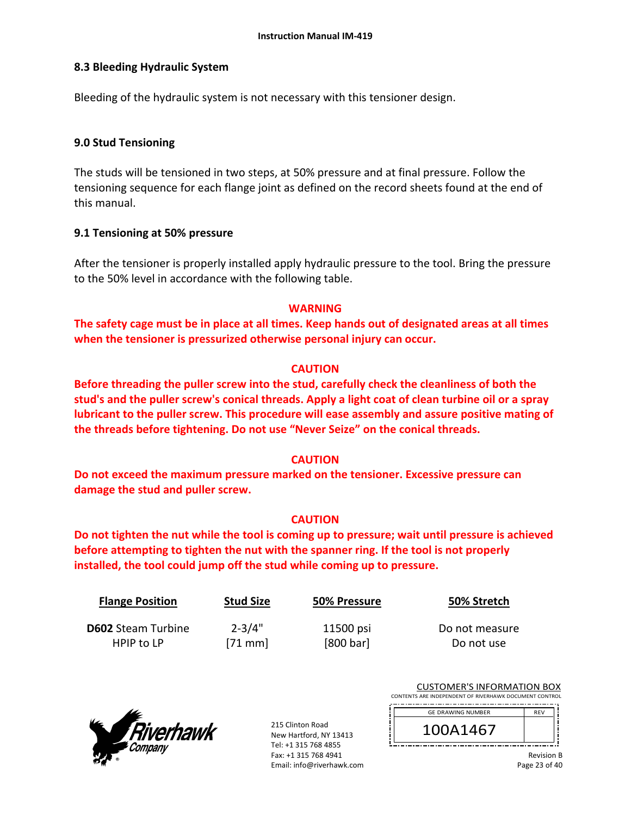## **8.3 Bleeding Hydraulic System**

Bleeding of the hydraulic system is not necessary with this tensioner design.

## **9.0 Stud Tensioning**

The studs will be tensioned in two steps, at 50% pressure and at final pressure. Follow the tensioning sequence for each flange joint as defined on the record sheets found at the end of this manual.

## **9.1 Tensioning at 50% pressure**

After the tensioner is properly installed apply hydraulic pressure to the tool. Bring the pressure to the 50% level in accordance with the following table.

# **WARNING**

**The safety cage must be in place at all times. Keep hands out of designated areas at all times when the tensioner is pressurized otherwise personal injury can occur.** 

# **CAUTION**

**Before threading the puller screw into the stud, carefully check the cleanliness of both the stud's and the puller screw's conical threads. Apply a light coat of clean turbine oil or a spray lubricant to the puller screw. This procedure will ease assembly and assure positive mating of the threads before tightening. Do not use "Never Seize" on the conical threads.** 

# **CAUTION**

**Do not exceed the maximum pressure marked on the tensioner. Excessive pressure can damage the stud and puller screw.** 

## **CAUTION**

**Do not tighten the nut while the tool is coming up to pressure; wait until pressure is achieved before attempting to tighten the nut with the spanner ring. If the tool is not properly installed, the tool could jump off the stud while coming up to pressure.** 

| <b>Flange Position</b>    | <b>Stud Size</b> | 50% Pressure | 50% Stretch    |
|---------------------------|------------------|--------------|----------------|
| <b>D602</b> Steam Turbine | $2 - 3/4"$       | 11500 psi    | Do not measure |
| HPIP to LP                | $[71$ mm         | [800 bar]    | Do not use     |



215 Clinton Road New Hartford, NY 13413 Tel: +1 315 768 4855 Fax: +1 315 768 4941 Email: info@riverhawk.com

|  | <b>CUSTOMER'S INFORMATION BOX</b> |  |
|--|-----------------------------------|--|
|  |                                   |  |

CONTENTS ARE INDEPENDENT OF RIVERHAWK DOCUMENT CONTROL 

| <b>GE DRAWING NUMBER</b> | <b>RFV</b> |
|--------------------------|------------|
| \146,                    |            |
|                          |            |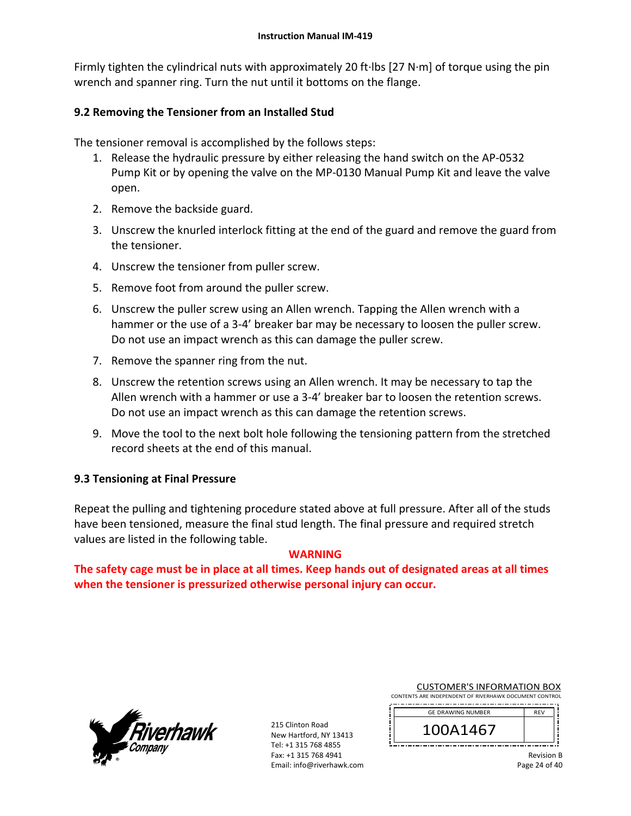Firmly tighten the cylindrical nuts with approximately 20 ft∙lbs [27 N∙m] of torque using the pin wrench and spanner ring. Turn the nut until it bottoms on the flange.

# **9.2 Removing the Tensioner from an Installed Stud**

The tensioner removal is accomplished by the follows steps:

- 1. Release the hydraulic pressure by either releasing the hand switch on the AP‐0532 Pump Kit or by opening the valve on the MP‐0130 Manual Pump Kit and leave the valve open.
- 2. Remove the backside guard.
- 3. Unscrew the knurled interlock fitting at the end of the guard and remove the guard from the tensioner.
- 4. Unscrew the tensioner from puller screw.
- 5. Remove foot from around the puller screw.
- 6. Unscrew the puller screw using an Allen wrench. Tapping the Allen wrench with a hammer or the use of a 3‐4' breaker bar may be necessary to loosen the puller screw. Do not use an impact wrench as this can damage the puller screw.
- 7. Remove the spanner ring from the nut.
- 8. Unscrew the retention screws using an Allen wrench. It may be necessary to tap the Allen wrench with a hammer or use a 3‐4' breaker bar to loosen the retention screws. Do not use an impact wrench as this can damage the retention screws.
- 9. Move the tool to the next bolt hole following the tensioning pattern from the stretched record sheets at the end of this manual.

# **9.3 Tensioning at Final Pressure**

Repeat the pulling and tightening procedure stated above at full pressure. After all of the studs have been tensioned, measure the final stud length. The final pressure and required stretch values are listed in the following table.

## **WARNING**

**The safety cage must be in place at all times. Keep hands out of designated areas at all times when the tensioner is pressurized otherwise personal injury can occur.** 



215 Clinton Road New Hartford, NY 13413 Tel: +1 315 768 4855 Fax: +1 315 768 4941 Email: info@riverhawk.com CUSTOMER'S INFORMATION BOX

| CONTENTS ARE INDEPENDENT OF RIVERHAWK DOCUMENT CONTROL |  |  |  |  |
|--------------------------------------------------------|--|--|--|--|
|                                                        |  |  |  |  |

| <b>GE DRAWING NUMBER</b> | <b>RFV</b> |  |  |  |
|--------------------------|------------|--|--|--|
| 0A1467                   |            |  |  |  |
|                          |            |  |  |  |

Revision B Page 24 of 40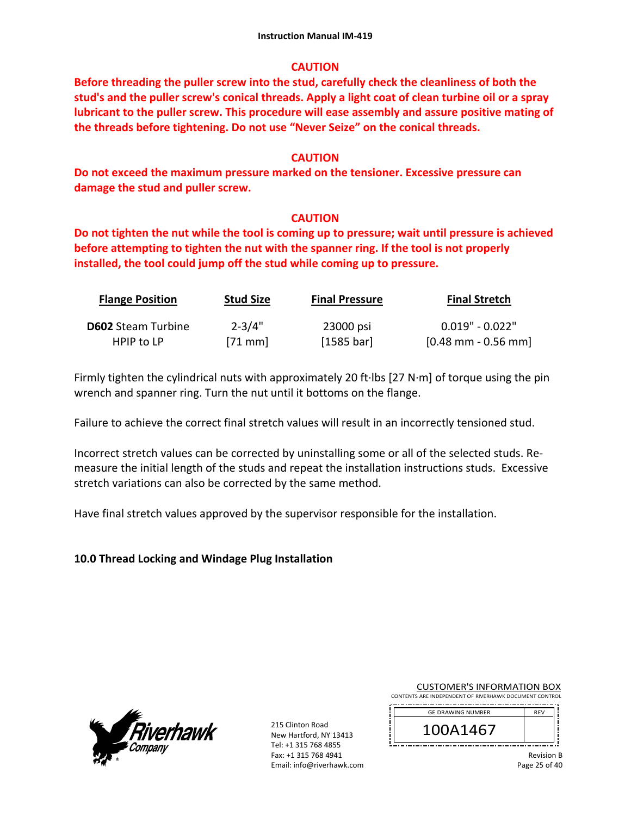## **CAUTION**

**Before threading the puller screw into the stud, carefully check the cleanliness of both the stud's and the puller screw's conical threads. Apply a light coat of clean turbine oil or a spray lubricant to the puller screw. This procedure will ease assembly and assure positive mating of the threads before tightening. Do not use "Never Seize" on the conical threads.** 

## **CAUTION**

**Do not exceed the maximum pressure marked on the tensioner. Excessive pressure can damage the stud and puller screw.** 

# **CAUTION**

**Do not tighten the nut while the tool is coming up to pressure; wait until pressure is achieved before attempting to tighten the nut with the spanner ring. If the tool is not properly installed, the tool could jump off the stud while coming up to pressure.**

| <b>Flange Position</b>    | <b>Stud Size</b> | <b>Final Pressure</b> | <b>Final Stretch</b>                  |
|---------------------------|------------------|-----------------------|---------------------------------------|
| <b>D602</b> Steam Turbine | $2 - 3/4"$       | 23000 psi             | $0.019"$ - $0.022"$                   |
| HPIP to LP                | $[71$ mm         | [1585 bar]            | $[0.48 \text{ mm} - 0.56 \text{ mm}]$ |

Firmly tighten the cylindrical nuts with approximately 20 ft∙lbs [27 N∙m] of torque using the pin wrench and spanner ring. Turn the nut until it bottoms on the flange.

Failure to achieve the correct final stretch values will result in an incorrectly tensioned stud.

Incorrect stretch values can be corrected by uninstalling some or all of the selected studs. Re‐ measure the initial length of the studs and repeat the installation instructions studs. Excessive stretch variations can also be corrected by the same method.

Have final stretch values approved by the supervisor responsible for the installation.

**10.0 Thread Locking and Windage Plug Installation** 



215 Clinton Road New Hartford, NY 13413 Tel: +1 315 768 4855 Fax: +1 315 768 4941 Email: info@riverhawk.com CUSTOMER'S INFORMATION BOX

| CONTENTS ARE INDEPENDENT OF RIVERHAWK DOCUMENT CONTROL |  |  |  |  |
|--------------------------------------------------------|--|--|--|--|
|                                                        |  |  |  |  |

| <b>GE DRAWING NUMBER</b> | <b>REV</b> |
|--------------------------|------------|
| 41467                    |            |
|                          |            |

Revision B Page 25 of 40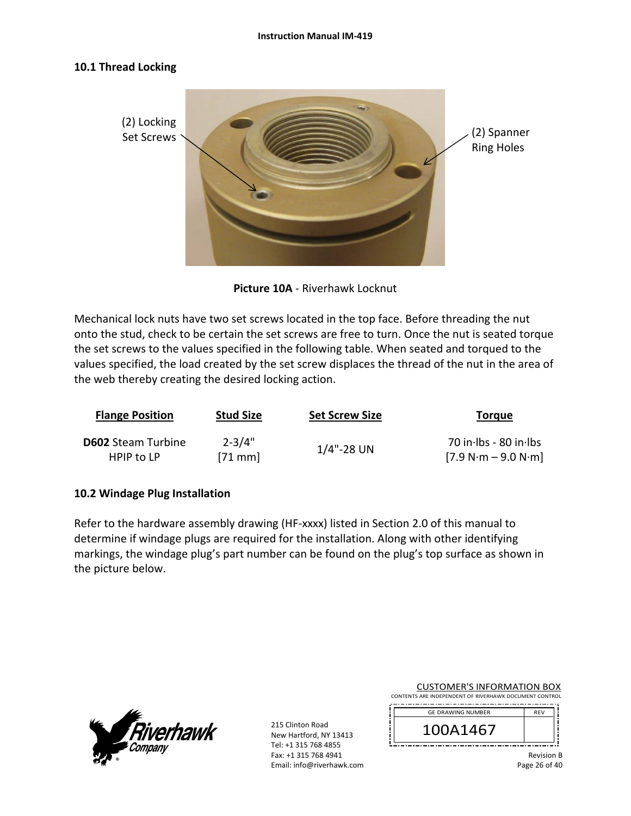## **10.1 Thread Locking**



**Picture 10A** ‐ Riverhawk Locknut

Mechanical lock nuts have two set screws located in the top face. Before threading the nut onto the stud, check to be certain the set screws are free to turn. Once the nut is seated torque the set screws to the values specified in the following table. When seated and torqued to the values specified, the load created by the set screw displaces the thread of the nut in the area of the web thereby creating the desired locking action.

| <b>Flange Position</b>    | <b>Stud Size</b> | <b>Set Screw Size</b> | Torque                |
|---------------------------|------------------|-----------------------|-----------------------|
| <b>D602</b> Steam Turbine | $2 - 3/4"$       | $1/4$ "-28 UN         | 70 in Ibs - 80 in Ibs |
| HPIP to LP                | $[71$ mm         |                       | $[7.9 N·m - 9.0 N·m]$ |

## **10.2 Windage Plug Installation**

Refer to the hardware assembly drawing (HF-xxxx) listed in Section 2.0 of this manual to determine if windage plugs are required for the installation. Along with other identifying markings, the windage plug's part number can be found on the plug's top surface as shown in the picture below.



215 Clinton Road New Hartford, NY 13413 Tel: +1 315 768 4855 Fax: +1 315 768 4941 Email: info@riverhawk.com

CUSTOMER'S INFORMATION BOX CONTENTS ARE INDEPENDENT OF RIVERHAWK DOCUMENT CONTROL

| <b>GE DRAWING NUMBER</b> | <b>RFV</b> |
|--------------------------|------------|
| 1A1467                   |            |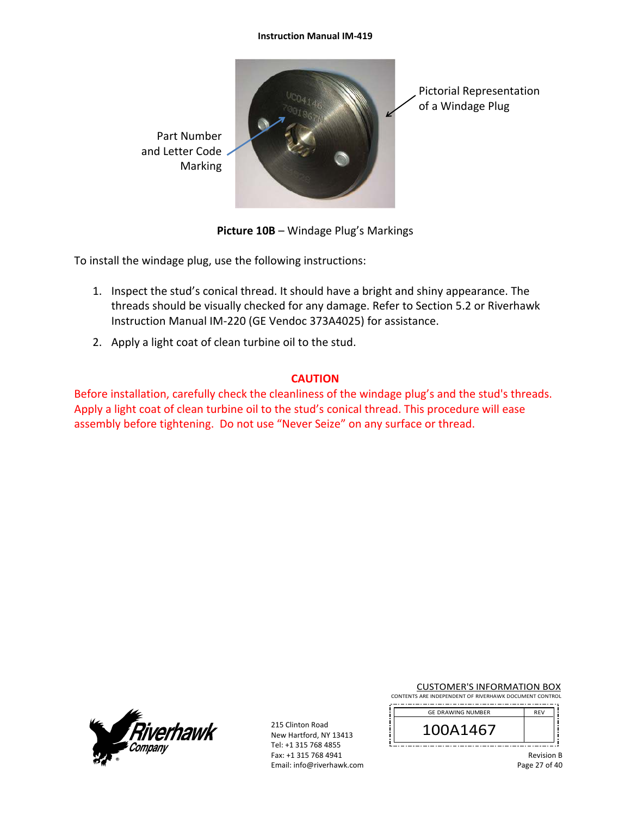#### **Instruction Manual IM‐419**



**Picture 10B** – Windage Plug's Markings

To install the windage plug, use the following instructions:

- 1. Inspect the stud's conical thread. It should have a bright and shiny appearance. The threads should be visually checked for any damage. Refer to Section 5.2 or Riverhawk Instruction Manual IM‐220 (GE Vendoc 373A4025) for assistance.
- 2. Apply a light coat of clean turbine oil to the stud.

# **CAUTION**

Before installation, carefully check the cleanliness of the windage plug's and the stud's threads. Apply a light coat of clean turbine oil to the stud's conical thread. This procedure will ease assembly before tightening. Do not use "Never Seize" on any surface or thread.



215 Clinton Road New Hartford, NY 13413 Tel: +1 315 768 4855 Fax: +1 315 768 4941 Email: info@riverhawk.com CUSTOMER'S INFORMATION BOX

CONTENTS ARE INDEPENDENT OF RIVERHAWK DOCUMENT CONTROL 

| <b>GE DRAWING NUMBER</b> | <b>RFV</b> |
|--------------------------|------------|
| 100A1467                 |            |
|                          |            |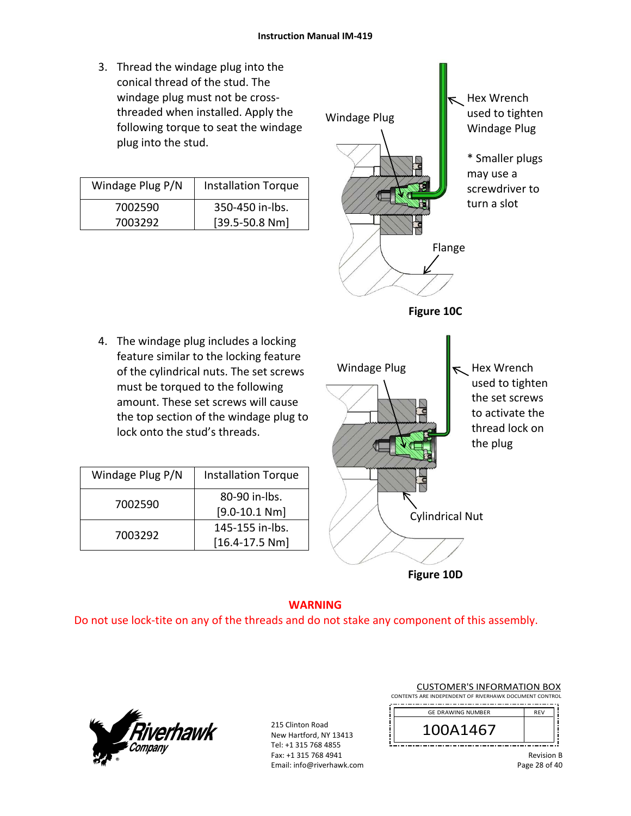3. Thread the windage plug into the conical thread of the stud. The windage plug must not be cross‐ threaded when installed. Apply the following torque to seat the windage plug into the stud.

| Windage Plug P/N | <b>Installation Torque</b> |
|------------------|----------------------------|
| 7002590          | 350-450 in-lbs.            |
| 7003292          | $[39.5 - 50.8 Nm]$         |

4. The windage plug includes a locking feature similar to the locking feature of the cylindrical nuts. The set screws must be torqued to the following amount. These set screws will cause the top section of the windage plug to

lock onto the stud's threads.

Windage Plug P/N | Installation Torque

7002590 80−90 in-lbs.

7003292 145-155 in-lbs.

[9.0‐10.1 Nm]

[16.4‐17.5 Nm]



**Figure 10D**

# **WARNING**

Do not use lock‐tite on any of the threads and do not stake any component of this assembly.



215 Clinton Road New Hartford, NY 13413 Tel: +1 315 768 4855 Fax: +1 315 768 4941 Email: info@riverhawk.com CUSTOMER'S INFORMATION BOX

CONTENTS ARE INDEPENDENT OF RIVERHAWK DOCUMENT CONTROL 

| <b>GE DRAWING NUMBER</b> | <b>RFV</b> |
|--------------------------|------------|
| 41467                    |            |
|                          |            |

Revision B Page 28 of 40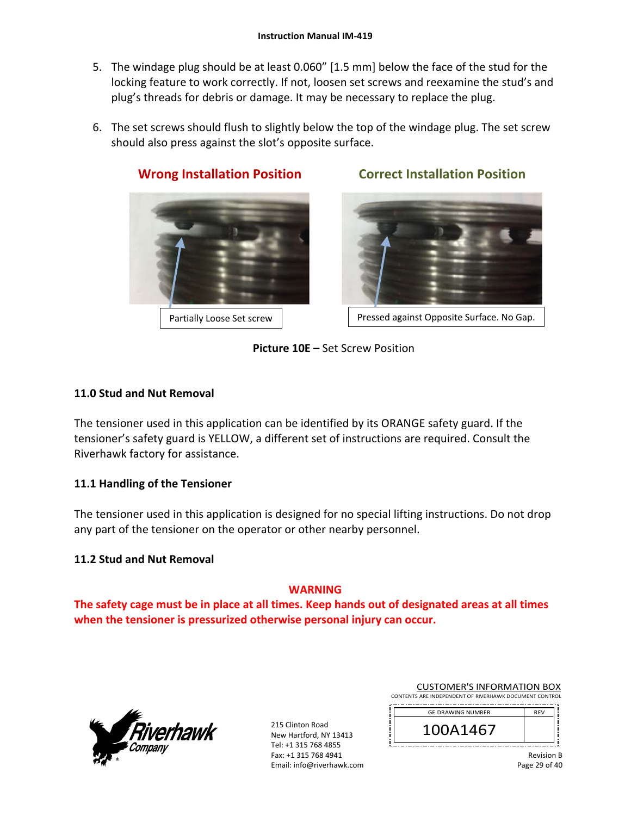- 5. The windage plug should be at least 0.060" [1.5 mm] below the face of the stud for the locking feature to work correctly. If not, loosen set screws and reexamine the stud's and plug's threads for debris or damage. It may be necessary to replace the plug.
- 6. The set screws should flush to slightly below the top of the windage plug. The set screw should also press against the slot's opposite surface.



**Wrong Installation Position Correct Installation Position** 



Partially Loose Set screw | Ressed against Opposite Surface. No Gap.

**Picture 10E –** Set Screw Position

# **11.0 Stud and Nut Removal**

The tensioner used in this application can be identified by its ORANGE safety guard. If the tensioner's safety guard is YELLOW, a different set of instructions are required. Consult the Riverhawk factory for assistance.

# **11.1 Handling of the Tensioner**

The tensioner used in this application is designed for no special lifting instructions. Do not drop any part of the tensioner on the operator or other nearby personnel.

# **11.2 Stud and Nut Removal**

# **WARNING**

**The safety cage must be in place at all times. Keep hands out of designated areas at all times when the tensioner is pressurized otherwise personal injury can occur.** 



| <b>CUSTOMER'S INFORMATION BOX</b>                     |  |  |
|-------------------------------------------------------|--|--|
| NITE ARE INDERENDENT OF BUILDING ACCUMULATION CONTROL |  |  |

| CONTENTS ARE INDEPENDENT OF RIVERHAWK DOCUMENT CONTROL |  |  |  |  |
|--------------------------------------------------------|--|--|--|--|
|                                                        |  |  |  |  |

| <b>GE DRAWING NUMBER</b> | <b>RFV</b> |
|--------------------------|------------|
| 100A1467                 |            |
|                          |            |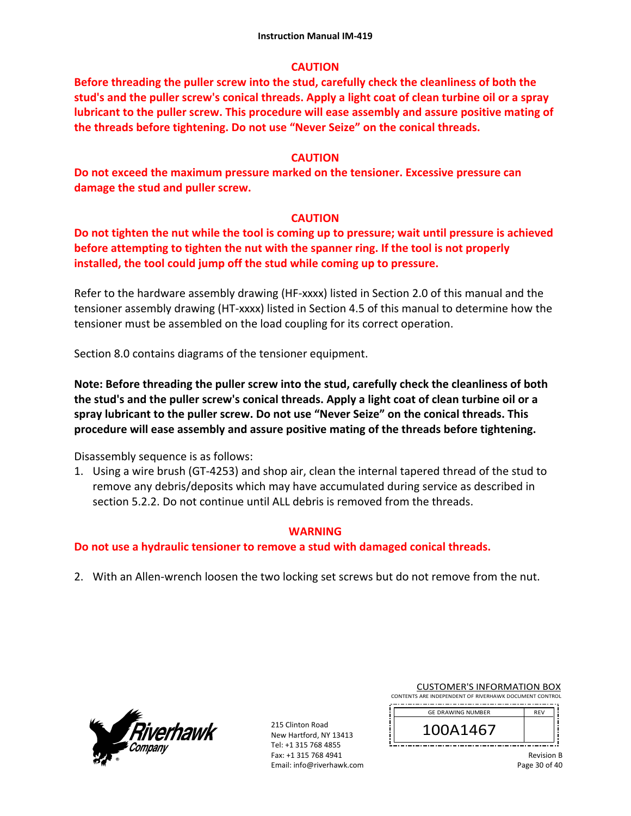## **CAUTION**

**Before threading the puller screw into the stud, carefully check the cleanliness of both the stud's and the puller screw's conical threads. Apply a light coat of clean turbine oil or a spray lubricant to the puller screw. This procedure will ease assembly and assure positive mating of the threads before tightening. Do not use "Never Seize" on the conical threads.** 

## **CAUTION**

**Do not exceed the maximum pressure marked on the tensioner. Excessive pressure can damage the stud and puller screw.** 

# **CAUTION**

**Do not tighten the nut while the tool is coming up to pressure; wait until pressure is achieved before attempting to tighten the nut with the spanner ring. If the tool is not properly installed, the tool could jump off the stud while coming up to pressure.** 

Refer to the hardware assembly drawing (HF-xxxx) listed in Section 2.0 of this manual and the tensioner assembly drawing (HT‐xxxx) listed in Section 4.5 of this manual to determine how the tensioner must be assembled on the load coupling for its correct operation.

Section 8.0 contains diagrams of the tensioner equipment.

**Note: Before threading the puller screw into the stud, carefully check the cleanliness of both the stud's and the puller screw's conical threads. Apply a light coat of clean turbine oil or a spray lubricant to the puller screw. Do not use "Never Seize" on the conical threads. This procedure will ease assembly and assure positive mating of the threads before tightening.** 

Disassembly sequence is as follows:

1. Using a wire brush (GT‐4253) and shop air, clean the internal tapered thread of the stud to remove any debris/deposits which may have accumulated during service as described in section 5.2.2. Do not continue until ALL debris is removed from the threads.

## **WARNING**

# **Do not use a hydraulic tensioner to remove a stud with damaged conical threads.**

2. With an Allen-wrench loosen the two locking set screws but do not remove from the nut.



| <b>CUSTOMER'S INFORMATION BOX</b>                     |  |  |
|-------------------------------------------------------|--|--|
| NITE ARE INDERENDENT OF BUILDING ACCUMULATION CONTROL |  |  |

| CONTENTS ARE INDEPENDENT OF RIVERHAWK DOCUMENT CONTROL |            |  |  |
|--------------------------------------------------------|------------|--|--|
| <b>GE DRAWING NUMBER</b>                               | <b>RFV</b> |  |  |
| 100A1467                                               |            |  |  |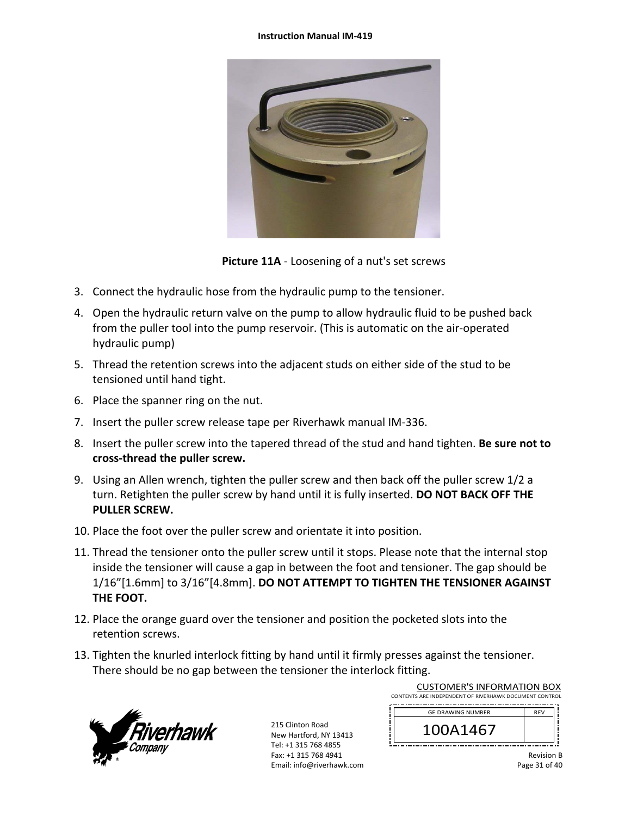### **Instruction Manual IM‐419**



**Picture 11A** ‐ Loosening of a nut's set screws

- 3. Connect the hydraulic hose from the hydraulic pump to the tensioner.
- 4. Open the hydraulic return valve on the pump to allow hydraulic fluid to be pushed back from the puller tool into the pump reservoir. (This is automatic on the air‐operated hydraulic pump)
- 5. Thread the retention screws into the adjacent studs on either side of the stud to be tensioned until hand tight.
- 6. Place the spanner ring on the nut.
- 7. Insert the puller screw release tape per Riverhawk manual IM‐336.
- 8. Insert the puller screw into the tapered thread of the stud and hand tighten. **Be sure not to cross‐thread the puller screw.**
- 9. Using an Allen wrench, tighten the puller screw and then back off the puller screw 1/2 a turn. Retighten the puller screw by hand until it is fully inserted. **DO NOT BACK OFF THE PULLER SCREW.**
- 10. Place the foot over the puller screw and orientate it into position.
- 11. Thread the tensioner onto the puller screw until it stops. Please note that the internal stop inside the tensioner will cause a gap in between the foot and tensioner. The gap should be 1/16"[1.6mm] to 3/16"[4.8mm]. **DO NOT ATTEMPT TO TIGHTEN THE TENSIONER AGAINST THE FOOT.**
- 12. Place the orange guard over the tensioner and position the pocketed slots into the retention screws.
- 13. Tighten the knurled interlock fitting by hand until it firmly presses against the tensioner. There should be no gap between the tensioner the interlock fitting.



215 Clinton Road New Hartford, NY 13413 Tel: +1 315 768 4855 Fax: +1 315 768 4941 Email: info@riverhawk.com

| CONTENTS ARE INDEPENDENT OF RIVERHAWK DOCUMENT CONTROL |                          |  |  |
|--------------------------------------------------------|--------------------------|--|--|
| <b>RFV</b>                                             | <b>GE DRAWING NUMBER</b> |  |  |
|                                                        | 100A1467                 |  |  |
|                                                        |                          |  |  |

CUSTOMER'S INFORMATION BOX

Revision B Page 31 of 40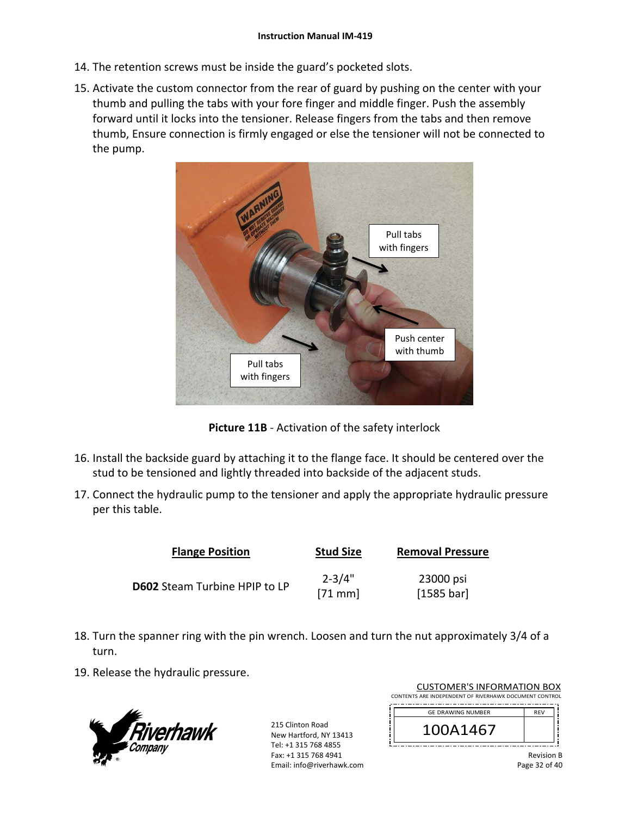- 14. The retention screws must be inside the guard's pocketed slots.
- 15. Activate the custom connector from the rear of guard by pushing on the center with your thumb and pulling the tabs with your fore finger and middle finger. Push the assembly forward until it locks into the tensioner. Release fingers from the tabs and then remove thumb, Ensure connection is firmly engaged or else the tensioner will not be connected to the pump.



**Picture 11B** ‐ Activation of the safety interlock

- 16. Install the backside guard by attaching it to the flange face. It should be centered over the stud to be tensioned and lightly threaded into backside of the adjacent studs.
- 17. Connect the hydraulic pump to the tensioner and apply the appropriate hydraulic pressure per this table.

| <b>Flange Position</b>        | <b>Stud Size</b>       | <b>Removal Pressure</b> |
|-------------------------------|------------------------|-------------------------|
| D602 Steam Turbine HPIP to LP | $2 - 3/4"$<br>$[71$ mm | 23000 psi<br>[1585 bar] |

- 18. Turn the spanner ring with the pin wrench. Loosen and turn the nut approximately 3/4 of a turn.
- 19. Release the hydraulic pressure.



215 Clinton Road New Hartford, NY 13413 Tel: +1 315 768 4855 Fax: +1 315 768 4941 Email: info@riverhawk.com

| CONTENTS ARE INDEPENDENT OF RIVERHAWK DOCUMENT CONTROL |            |  |
|--------------------------------------------------------|------------|--|
| <b>GE DRAWING NUMBER</b>                               | <b>RFV</b> |  |
| 100A1467                                               |            |  |

CUSTOMER'S INFORMATION BOX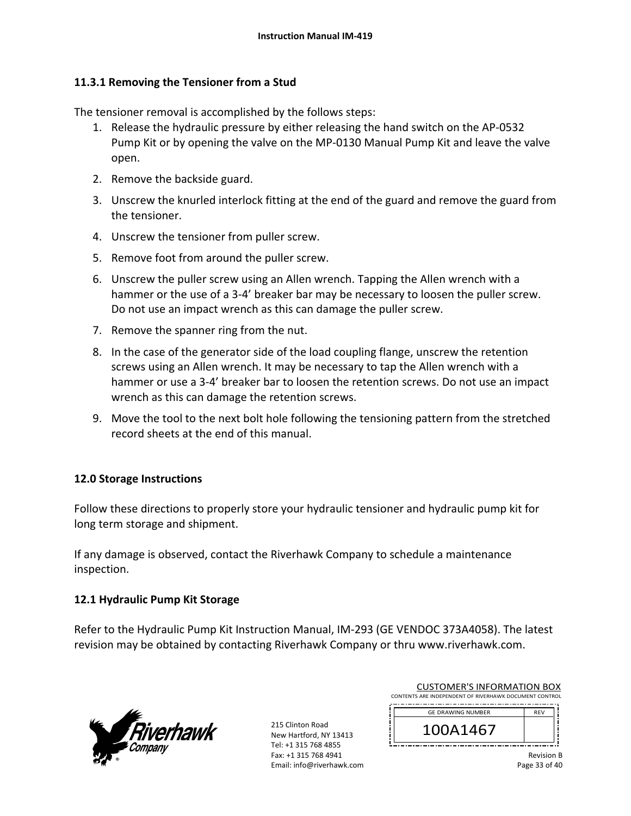# **11.3.1 Removing the Tensioner from a Stud**

The tensioner removal is accomplished by the follows steps:

- 1. Release the hydraulic pressure by either releasing the hand switch on the AP‐0532 Pump Kit or by opening the valve on the MP‐0130 Manual Pump Kit and leave the valve open.
- 2. Remove the backside guard.
- 3. Unscrew the knurled interlock fitting at the end of the guard and remove the guard from the tensioner.
- 4. Unscrew the tensioner from puller screw.
- 5. Remove foot from around the puller screw.
- 6. Unscrew the puller screw using an Allen wrench. Tapping the Allen wrench with a hammer or the use of a 3-4' breaker bar may be necessary to loosen the puller screw. Do not use an impact wrench as this can damage the puller screw.
- 7. Remove the spanner ring from the nut.
- 8. In the case of the generator side of the load coupling flange, unscrew the retention screws using an Allen wrench. It may be necessary to tap the Allen wrench with a hammer or use a 3‐4' breaker bar to loosen the retention screws. Do not use an impact wrench as this can damage the retention screws.
- 9. Move the tool to the next bolt hole following the tensioning pattern from the stretched record sheets at the end of this manual.

## **12.0 Storage Instructions**

Follow these directions to properly store your hydraulic tensioner and hydraulic pump kit for long term storage and shipment.

If any damage is observed, contact the Riverhawk Company to schedule a maintenance inspection.

## **12.1 Hydraulic Pump Kit Storage**

Refer to the Hydraulic Pump Kit Instruction Manual, IM‐293 (GE VENDOC 373A4058). The latest revision may be obtained by contacting Riverhawk Company or thru www.riverhawk.com.



|                                                        | <b>CUSTOMER'S INFORMATION BOX</b> |            |  |
|--------------------------------------------------------|-----------------------------------|------------|--|
| CONTENTS ARE INDEPENDENT OF RIVERHAWK DOCUMENT CONTROL |                                   |            |  |
|                                                        | GE DRAWING NUMBER                 | <b>DEV</b> |  |

| <b>GE DRAWING NUMBER</b> | <b>REV</b> |  |
|--------------------------|------------|--|
| 1467 <sup>.</sup>        |            |  |
|                          |            |  |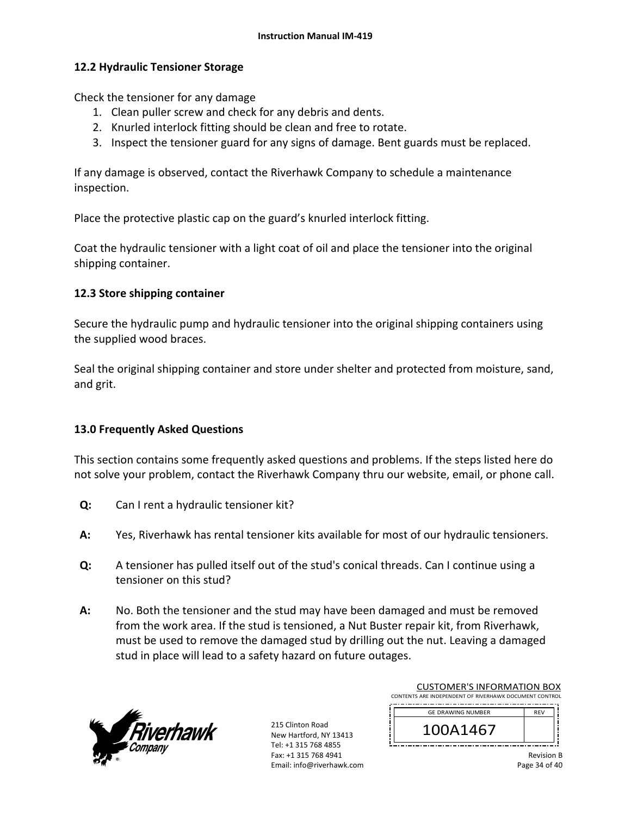## **12.2 Hydraulic Tensioner Storage**

Check the tensioner for any damage

- 1. Clean puller screw and check for any debris and dents.
- 2. Knurled interlock fitting should be clean and free to rotate.
- 3. Inspect the tensioner guard for any signs of damage. Bent guards must be replaced.

If any damage is observed, contact the Riverhawk Company to schedule a maintenance inspection.

Place the protective plastic cap on the guard's knurled interlock fitting.

Coat the hydraulic tensioner with a light coat of oil and place the tensioner into the original shipping container.

## **12.3 Store shipping container**

Secure the hydraulic pump and hydraulic tensioner into the original shipping containers using the supplied wood braces.

Seal the original shipping container and store under shelter and protected from moisture, sand, and grit.

## **13.0 Frequently Asked Questions**

This section contains some frequently asked questions and problems. If the steps listed here do not solve your problem, contact the Riverhawk Company thru our website, email, or phone call.

- **Q:**  Can I rent a hydraulic tensioner kit?
- **A:**  Yes, Riverhawk has rental tensioner kits available for most of our hydraulic tensioners.
- **Q:**  A tensioner has pulled itself out of the stud's conical threads. Can I continue using a tensioner on this stud?
- **A:**  No. Both the tensioner and the stud may have been damaged and must be removed from the work area. If the stud is tensioned, a Nut Buster repair kit, from Riverhawk, must be used to remove the damaged stud by drilling out the nut. Leaving a damaged stud in place will lead to a safety hazard on future outages.



215 Clinton Road New Hartford, NY 13413 Tel: +1 315 768 4855 Fax: +1 315 768 4941 Email: info@riverhawk.com

| CONTENTS ARE INDEPENDENT OF RIVERHAWK DOCUMENT CONTROL |            |  |
|--------------------------------------------------------|------------|--|
| <b>GE DRAWING NUMBER</b>                               | <b>RFV</b> |  |
| 100A1467                                               |            |  |

CUSTOMER'S INFORMATION BOX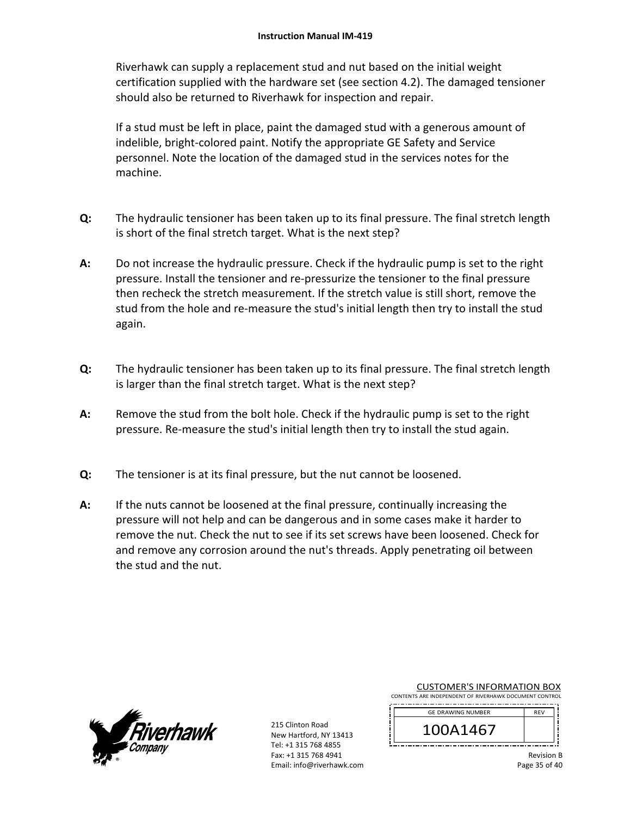Riverhawk can supply a replacement stud and nut based on the initial weight certification supplied with the hardware set (see section 4.2). The damaged tensioner should also be returned to Riverhawk for inspection and repair.

If a stud must be left in place, paint the damaged stud with a generous amount of indelible, bright‐colored paint. Notify the appropriate GE Safety and Service personnel. Note the location of the damaged stud in the services notes for the machine.

- **Q:**  The hydraulic tensioner has been taken up to its final pressure. The final stretch length is short of the final stretch target. What is the next step?
- **A:**  Do not increase the hydraulic pressure. Check if the hydraulic pump is set to the right pressure. Install the tensioner and re‐pressurize the tensioner to the final pressure then recheck the stretch measurement. If the stretch value is still short, remove the stud from the hole and re-measure the stud's initial length then try to install the stud again.
- **Q:**  The hydraulic tensioner has been taken up to its final pressure. The final stretch length is larger than the final stretch target. What is the next step?
- **A:**  Remove the stud from the bolt hole. Check if the hydraulic pump is set to the right pressure. Re‐measure the stud's initial length then try to install the stud again.
- **Q:**  The tensioner is at its final pressure, but the nut cannot be loosened.
- **A:**  If the nuts cannot be loosened at the final pressure, continually increasing the pressure will not help and can be dangerous and in some cases make it harder to remove the nut. Check the nut to see if its set screws have been loosened. Check for and remove any corrosion around the nut's threads. Apply penetrating oil between the stud and the nut.



215 Clinton Road New Hartford, NY 13413 Tel: +1 315 768 4855 Fax: +1 315 768 4941 Email: info@riverhawk.com

## CUSTOMER'S INFORMATION BOX

CONTENTS ARE INDEPENDENT OF RIVERHAWK DOCUMENT CONTROL 

| <b>GE DRAWING NUMBER</b> | <b>RFV</b> |
|--------------------------|------------|
| 100A1467                 |            |
|                          |            |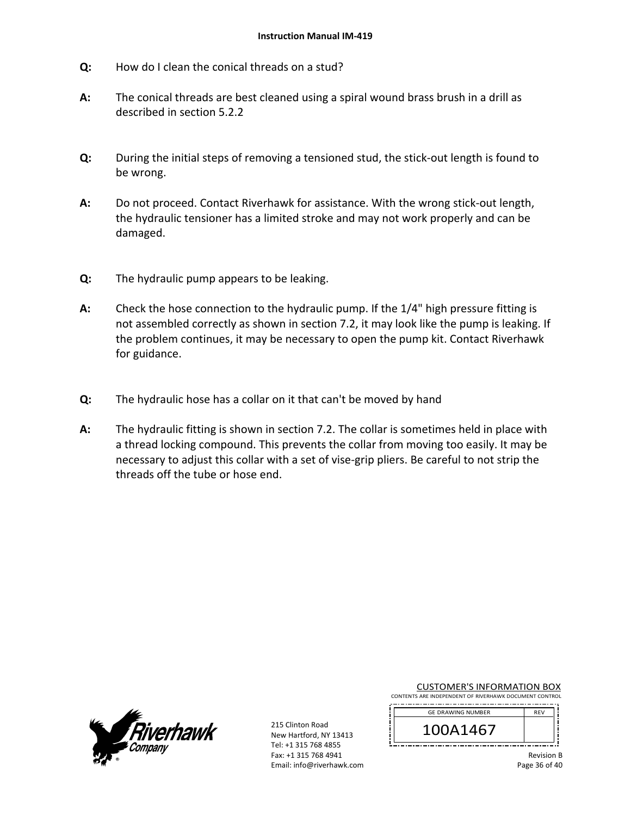- **Q:**  How do I clean the conical threads on a stud?
- **A:**  The conical threads are best cleaned using a spiral wound brass brush in a drill as described in section 5.2.2
- **Q:**  During the initial steps of removing a tensioned stud, the stick‐out length is found to be wrong.
- **A:**  Do not proceed. Contact Riverhawk for assistance. With the wrong stick‐out length, the hydraulic tensioner has a limited stroke and may not work properly and can be damaged.
- **Q:**  The hydraulic pump appears to be leaking.
- **A:**  Check the hose connection to the hydraulic pump. If the 1/4" high pressure fitting is not assembled correctly as shown in section 7.2, it may look like the pump is leaking. If the problem continues, it may be necessary to open the pump kit. Contact Riverhawk for guidance.
- **Q:**  The hydraulic hose has a collar on it that can't be moved by hand
- **A:**  The hydraulic fitting is shown in section 7.2. The collar is sometimes held in place with a thread locking compound. This prevents the collar from moving too easily. It may be necessary to adjust this collar with a set of vise-grip pliers. Be careful to not strip the threads off the tube or hose end.



215 Clinton Road New Hartford, NY 13413 Tel: +1 315 768 4855 Fax: +1 315 768 4941 Email: info@riverhawk.com CUSTOMER'S INFORMATION BOX

CONTENTS ARE INDEPENDENT OF RIVERHAWK DOCUMENT CONTROL 

| <b>GE DRAWING NUMBER</b> | <b>RFV</b> |
|--------------------------|------------|
| 100A1467                 |            |
|                          |            |

Revision B Page 36 of 40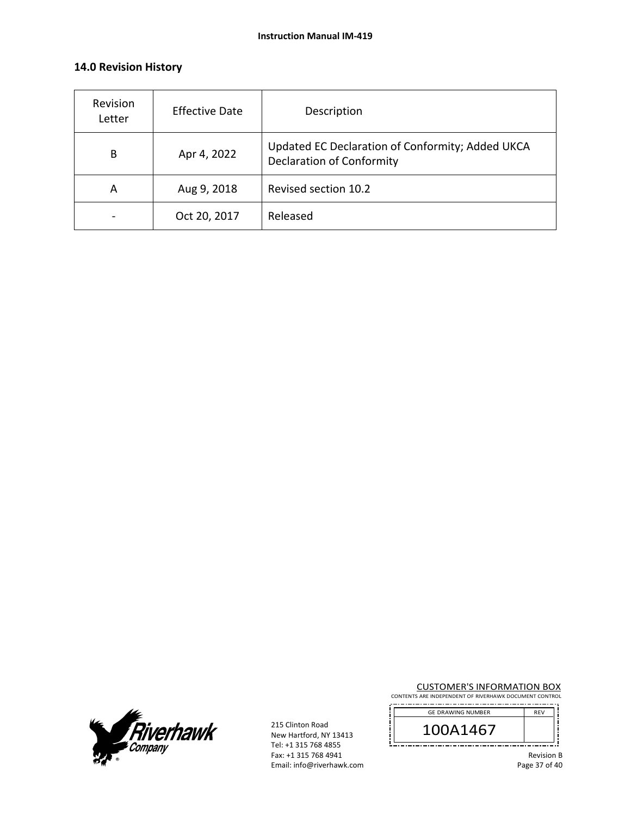## **14.0 Revision History**

| Revision<br>Letter | <b>Effective Date</b> | Description                                                                          |
|--------------------|-----------------------|--------------------------------------------------------------------------------------|
| B                  | Apr 4, 2022           | Updated EC Declaration of Conformity; Added UKCA<br><b>Declaration of Conformity</b> |
| A                  | Aug 9, 2018           | Revised section 10.2                                                                 |
|                    | Oct 20, 2017          | Released                                                                             |



215 Clinton Road New Hartford, NY 13413 Tel: +1 315 768 4855 Fax: +1 315 768 4941 Email: info@riverhawk.com CUSTOMER'S INFORMATION BOX

CONTENTS ARE INDEPENDENT OF RIVERHAWK DOCUMENT CONTROL

| <b>GE DRAWING NUMBER</b> | REV |
|--------------------------|-----|
| \1467                    |     |
|                          |     |

Revision B Page 37 of 40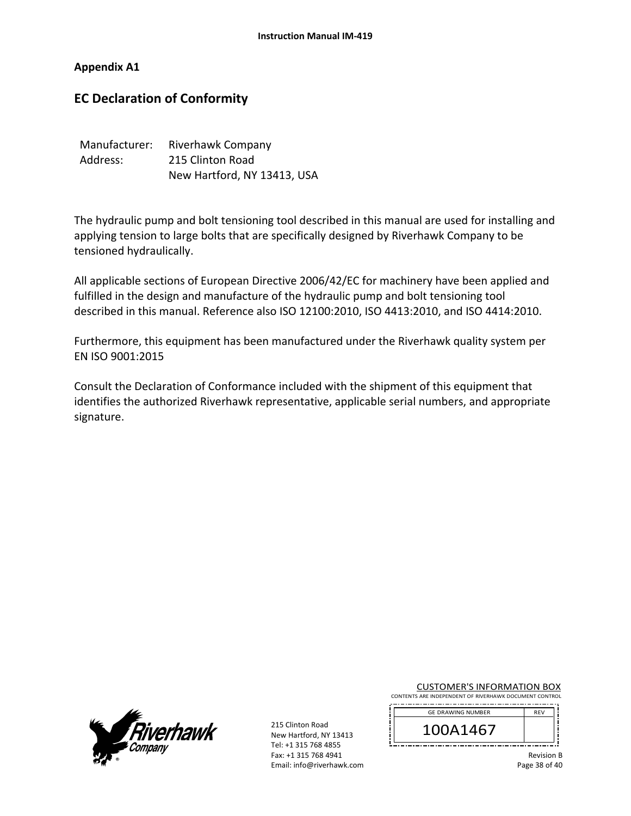## **Appendix A1**

# **EC Declaration of Conformity**

| Manufacturer: | Riverhawk Company           |
|---------------|-----------------------------|
| Address:      | 215 Clinton Road            |
|               | New Hartford, NY 13413, USA |

The hydraulic pump and bolt tensioning tool described in this manual are used for installing and applying tension to large bolts that are specifically designed by Riverhawk Company to be tensioned hydraulically.

All applicable sections of European Directive 2006/42/EC for machinery have been applied and fulfilled in the design and manufacture of the hydraulic pump and bolt tensioning tool described in this manual. Reference also ISO 12100:2010, ISO 4413:2010, and ISO 4414:2010.

Furthermore, this equipment has been manufactured under the Riverhawk quality system per EN ISO 9001:2015

Consult the Declaration of Conformance included with the shipment of this equipment that identifies the authorized Riverhawk representative, applicable serial numbers, and appropriate signature.



215 Clinton Road New Hartford, NY 13413 Tel: +1 315 768 4855 Fax: +1 315 768 4941 Email: info@riverhawk.com CUSTOMER'S INFORMATION BOX

CONTENTS ARE INDEPENDENT OF RIVERHAWK DOCUMENT CONTROL 

| <b>GE DRAWING NUMBER</b> | <b>RFV</b> |
|--------------------------|------------|
| 100A1467                 |            |
|                          |            |

Revision B Page 38 of 40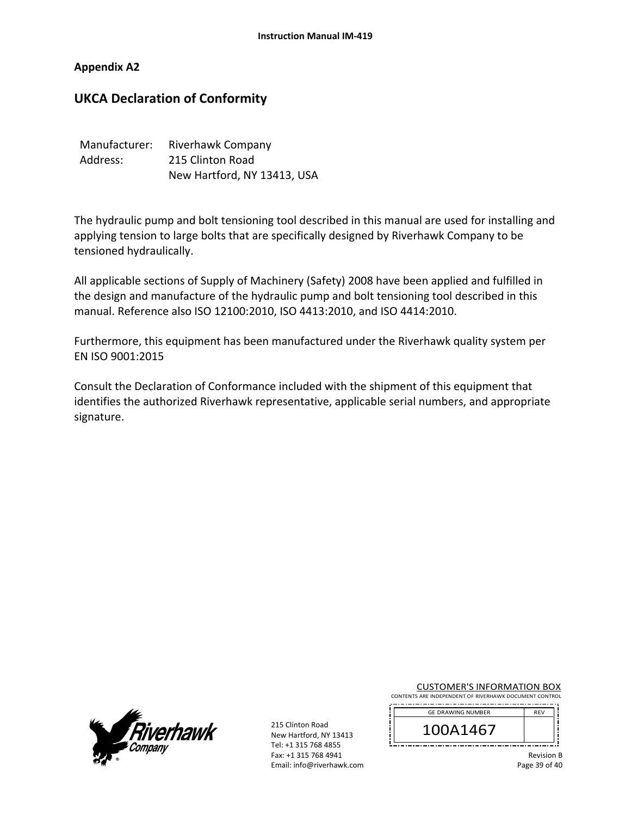## **Appendix A2**

# **UKCA Declaration of Conformity**

| Manufacturer: | Riverhawk Company           |
|---------------|-----------------------------|
| Address:      | 215 Clinton Road            |
|               | New Hartford, NY 13413, USA |

The hydraulic pump and bolt tensioning tool described in this manual are used for installing and applying tension to large bolts that are specifically designed by Riverhawk Company to be tensioned hydraulically.

All applicable sections of Supply of Machinery (Safety) 2008 have been applied and fulfilled in the design and manufacture of the hydraulic pump and bolt tensioning tool described in this manual. Reference also ISO 12100:2010, ISO 4413:2010, and ISO 4414:2010.

Furthermore, this equipment has been manufactured under the Riverhawk quality system per EN ISO 9001:2015

Consult the Declaration of Conformance included with the shipment of this equipment that identifies the authorized Riverhawk representative, applicable serial numbers, and appropriate signature.



215 Clinton Road New Hartford, NY 13413 Tel: +1 315 768 4855 Fax: +1 315 768 4941 Email: info@riverhawk.com CUSTOMER'S INFORMATION BOX

CONTENTS ARE INDEPENDENT OF RIVERHAWK DOCUMENT CONTROL 

| <b>GE DRAWING NUMBER</b> | <b>RFV</b> |
|--------------------------|------------|
| 100A1467                 |            |
|                          |            |

Revision B Page 39 of 40